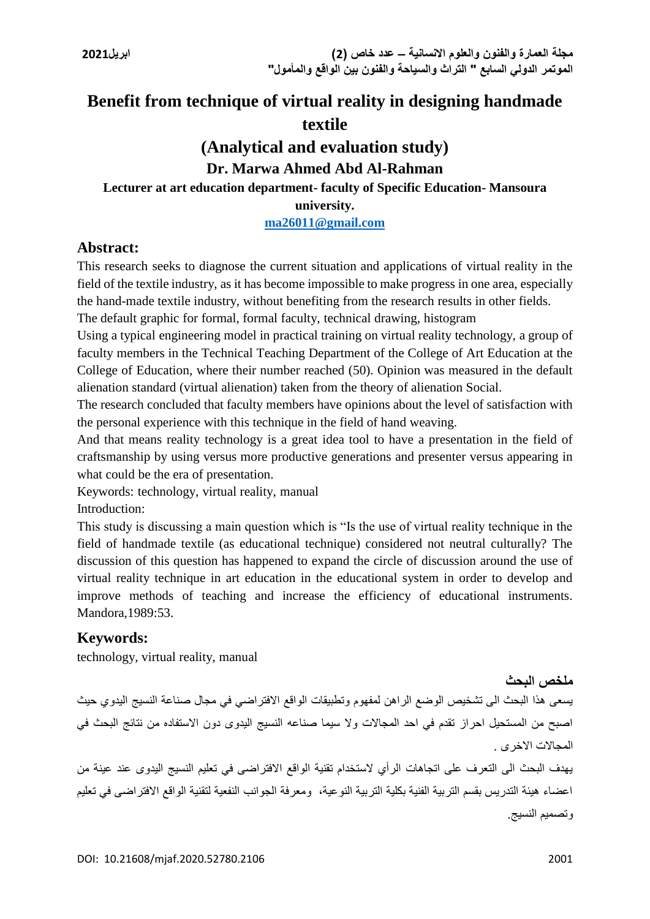# **Benefit from technique of virtual reality in designing handmade textile**

# **(Analytical and evaluation study)**

# **Dr. Marwa Ahmed Abd Al-Rahman**

# **Lecturer at art education department- faculty of Specific Education- Mansoura**

**university.**

## **[ma26011@gmail.com](mailto:ma26011@gmail.com)**

# **Abstract:**

This research seeks to diagnose the current situation and applications of virtual reality in the field of the textile industry, as it has become impossible to make progress in one area, especially the hand-made textile industry, without benefiting from the research results in other fields.

The default graphic for formal, formal faculty, technical drawing, histogram

Using a typical engineering model in practical training on virtual reality technology, a group of faculty members in the Technical Teaching Department of the College of Art Education at the College of Education, where their number reached (50). Opinion was measured in the default alienation standard (virtual alienation) taken from the theory of alienation Social.

The research concluded that faculty members have opinions about the level of satisfaction with the personal experience with this technique in the field of hand weaving.

And that means reality technology is a great idea tool to have a presentation in the field of craftsmanship by using versus more productive generations and presenter versus appearing in what could be the era of presentation.

Keywords: technology, virtual reality, manual

Introduction:

This study is discussing a main question which is "Is the use of virtual reality technique in the field of handmade textile (as educational technique) considered not neutral culturally? The discussion of this question has happened to expand the circle of discussion around the use of virtual reality technique in art education in the educational system in order to develop and improve methods of teaching and increase the efficiency of educational instruments. Mandora,1989:53.

# **Keywords:**

technology, virtual reality, manual

## **ملخص البحث**

يسعى هذا البحث الى تشخيص الوضع الراهن لمفهوم وتطبيقات الواقع االفتراضي في مجال صناعة النسيج اليدوي حيث اصبح من المستحيل احراز تقدم في احد المجاالت وال سيما صناعه النسيج اليدوى دون االستفاده من نتائج البحث في المجاالت االخرى .

يهدف البحث الى التعرف على اتجاهات الرأي الستخدام تقنية الواقع االفتراضى في تعليم النسيج اليدوى عند عينة من اعضاء هيئة التدريس بقسم التربية الفنية بكلية التربية النوعية، ومعرفة الجوانب النفعية لتقنية الواقع االفتراضى في تعليم وتصميم النسيج.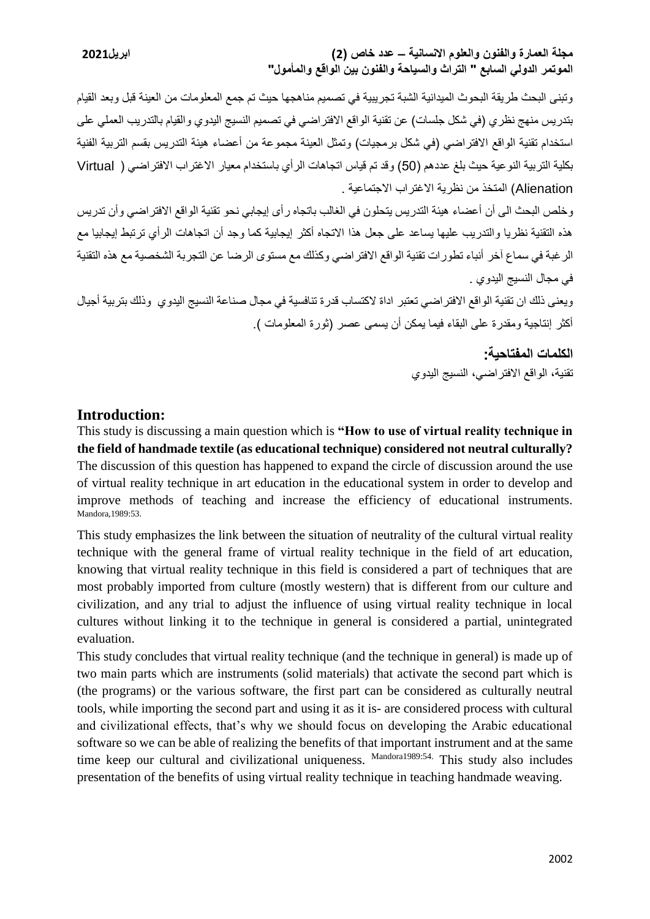**مجلة العمارة والفنون والعلوم االنسانية – عدد خاص )2( ابريل2021 الموتمر الدولي السابع " التراث والسياحة والفنون بين الواقع والمأمول"**

وتبنى البحث طريقة البحوث الميدانية الشبة تجريبية في تصميم مناهجها حيث تم جمع المعلومات من العينة قبل وبعد القيام بتدريس منهج نظري (في شكل جلسات) عن تقنية الواقع الافتراضي في تصميم النسيج اليدوي والقيام بالتدريب العملي على استخدام تقنية الواقع الافتراضي (في شكل برمجيات) وتمثل العينة مجموعة من أعضاء هيئة التدريس بقسم التربية الفنية بكلية التربية النوعية حيث بلغ عددهم )50( وقد تم قياس اتجاهات الرأي باستخدام معيار االغتراب االفتراضي ) Virtual Alienation )المتخذ من نظرية االغتراب االجتماعية .

وخلص البحث الى أن أعضاء هيئة التدريس يتحلون في الغالب باتجاه رأى إيجابي نحو تقنية الواقع االفتراضي وأن تدريس هذه التقنية نظريا والتدريب عليها يساعد على جعل هذا االتجاه أكثر إيجابية كما وجد أن اتجاهات الرأي ترتبط إيجابيا مع الرغبة في سماع آخر أنباء تطورات تقنية الواقع االفتراضي وكذلك مع مستوى الرضا عن التجربة الشخصية مع هذه التقنية في مجال النسيج اليدوي .

ويعنى ذلك ان تقنية الواقع االفتراضي تعتبر اداة الكتساب قدرة تنافسية في مجال صناعة النسيج اليدوي وذلك بتربية أجيال أكثر إنتاجية ومقدرة على البقاء فيما يمكن أن يسمى عصر )ثورة المعلومات (.

> **الكلمات المفتاحية:** تقنية، الواقع االفتراضي، النسيج اليدوي

## **Introduction:**

This study is discussing a main question which is **"How to use of virtual reality technique in the field of handmade textile (as educational technique) considered not neutral culturally?**  The discussion of this question has happened to expand the circle of discussion around the use of virtual reality technique in art education in the educational system in order to develop and improve methods of teaching and increase the efficiency of educational instruments. Mandora,1989:53.

This study emphasizes the link between the situation of neutrality of the cultural virtual reality technique with the general frame of virtual reality technique in the field of art education, knowing that virtual reality technique in this field is considered a part of techniques that are most probably imported from culture (mostly western) that is different from our culture and civilization, and any trial to adjust the influence of using virtual reality technique in local cultures without linking it to the technique in general is considered a partial, unintegrated evaluation.

This study concludes that virtual reality technique (and the technique in general) is made up of two main parts which are instruments (solid materials) that activate the second part which is (the programs) or the various software, the first part can be considered as culturally neutral tools, while importing the second part and using it as it is- are considered process with cultural and civilizational effects, that's why we should focus on developing the Arabic educational software so we can be able of realizing the benefits of that important instrument and at the same time keep our cultural and civilizational uniqueness. Mandora1989:54. This study also includes presentation of the benefits of using virtual reality technique in teaching handmade weaving.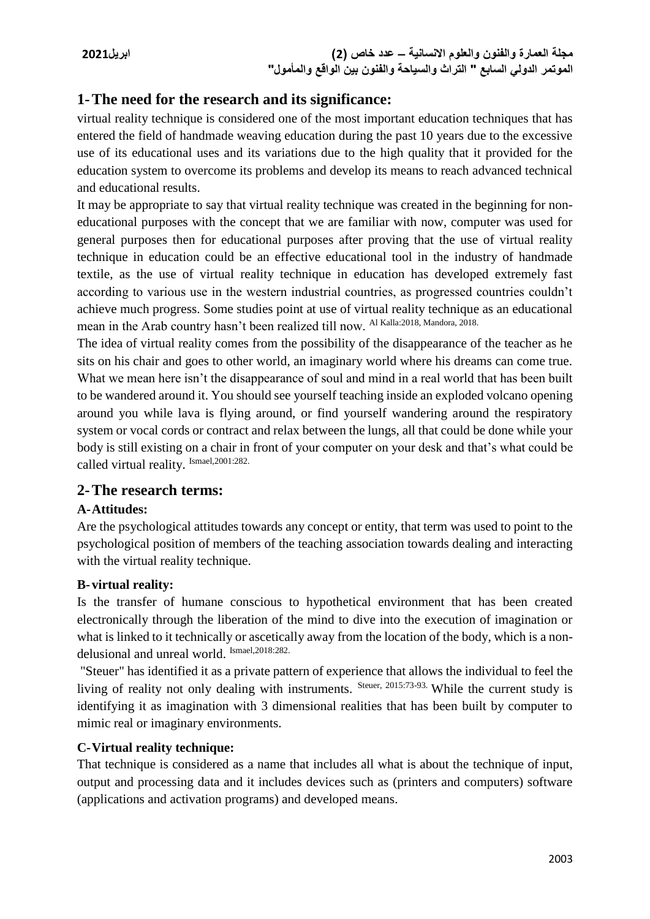# **1-The need for the research and its significance:**

virtual reality technique is considered one of the most important education techniques that has entered the field of handmade weaving education during the past 10 years due to the excessive use of its educational uses and its variations due to the high quality that it provided for the education system to overcome its problems and develop its means to reach advanced technical and educational results.

It may be appropriate to say that virtual reality technique was created in the beginning for noneducational purposes with the concept that we are familiar with now, computer was used for general purposes then for educational purposes after proving that the use of virtual reality technique in education could be an effective educational tool in the industry of handmade textile, as the use of virtual reality technique in education has developed extremely fast according to various use in the western industrial countries, as progressed countries couldn't achieve much progress. Some studies point at use of virtual reality technique as an educational mean in the Arab country hasn't been realized till now. Al Kalla:2018, Mandora, 2018.

The idea of virtual reality comes from the possibility of the disappearance of the teacher as he sits on his chair and goes to other world, an imaginary world where his dreams can come true. What we mean here isn't the disappearance of soul and mind in a real world that has been built to be wandered around it. You should see yourself teaching inside an exploded volcano opening around you while lava is flying around, or find yourself wandering around the respiratory system or vocal cords or contract and relax between the lungs, all that could be done while your body is still existing on a chair in front of your computer on your desk and that's what could be called virtual reality. Ismael,2001:282.

# **2-The research terms:**

# **A-Attitudes:**

Are the psychological attitudes towards any concept or entity, that term was used to point to the psychological position of members of the teaching association towards dealing and interacting with the virtual reality technique.

## **B- virtual reality:**

Is the transfer of humane conscious to hypothetical environment that has been created electronically through the liberation of the mind to dive into the execution of imagination or what is linked to it technically or ascetically away from the location of the body, which is a nondelusional and unreal world. Ismael,2018:282.

"Steuer" has identified it as a private pattern of experience that allows the individual to feel the living of reality not only dealing with instruments. Steuer, 2015:73-93. While the current study is identifying it as imagination with 3 dimensional realities that has been built by computer to mimic real or imaginary environments.

# **C-Virtual reality technique:**

That technique is considered as a name that includes all what is about the technique of input, output and processing data and it includes devices such as (printers and computers) software (applications and activation programs) and developed means.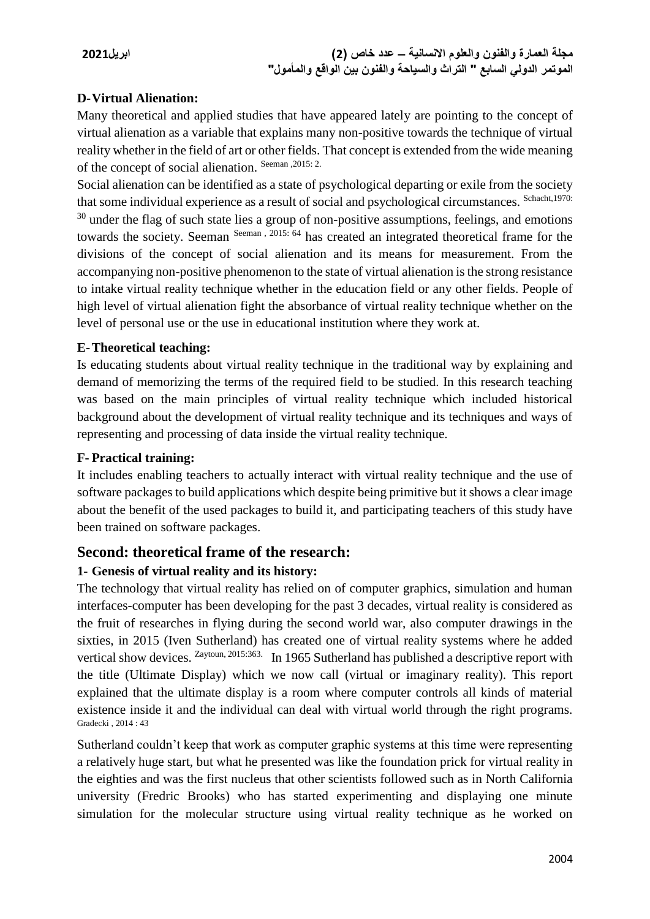## **D-Virtual Alienation:**

Many theoretical and applied studies that have appeared lately are pointing to the concept of virtual alienation as a variable that explains many non-positive towards the technique of virtual reality whether in the field of art or other fields. That concept is extended from the wide meaning of the concept of social alienation. Seeman , 2015: 2.

Social alienation can be identified as a state of psychological departing or exile from the society that some individual experience as a result of social and psychological circumstances. Schacht,1970:  $30$  under the flag of such state lies a group of non-positive assumptions, feelings, and emotions towards the society. Seeman Seeman, 2015: 64 has created an integrated theoretical frame for the divisions of the concept of social alienation and its means for measurement. From the accompanying non-positive phenomenon to the state of virtual alienation is the strong resistance to intake virtual reality technique whether in the education field or any other fields. People of high level of virtual alienation fight the absorbance of virtual reality technique whether on the level of personal use or the use in educational institution where they work at.

## **E-Theoretical teaching:**

Is educating students about virtual reality technique in the traditional way by explaining and demand of memorizing the terms of the required field to be studied. In this research teaching was based on the main principles of virtual reality technique which included historical background about the development of virtual reality technique and its techniques and ways of representing and processing of data inside the virtual reality technique.

## **F- Practical training:**

It includes enabling teachers to actually interact with virtual reality technique and the use of software packages to build applications which despite being primitive but it shows a clear image about the benefit of the used packages to build it, and participating teachers of this study have been trained on software packages.

# **Second: theoretical frame of the research:**

## **1- Genesis of virtual reality and its history:**

The technology that virtual reality has relied on of computer graphics, simulation and human interfaces-computer has been developing for the past 3 decades, virtual reality is considered as the fruit of researches in flying during the second world war, also computer drawings in the sixties, in 2015 (Iven Sutherland) has created one of virtual reality systems where he added vertical show devices. <sup>Zaytoun, 2015:363.</sup> In 1965 Sutherland has published a descriptive report with the title (Ultimate Display) which we now call (virtual or imaginary reality). This report explained that the ultimate display is a room where computer controls all kinds of material existence inside it and the individual can deal with virtual world through the right programs. Gradecki , 2014 : 43

Sutherland couldn't keep that work as computer graphic systems at this time were representing a relatively huge start, but what he presented was like the foundation prick for virtual reality in the eighties and was the first nucleus that other scientists followed such as in North California university (Fredric Brooks) who has started experimenting and displaying one minute simulation for the molecular structure using virtual reality technique as he worked on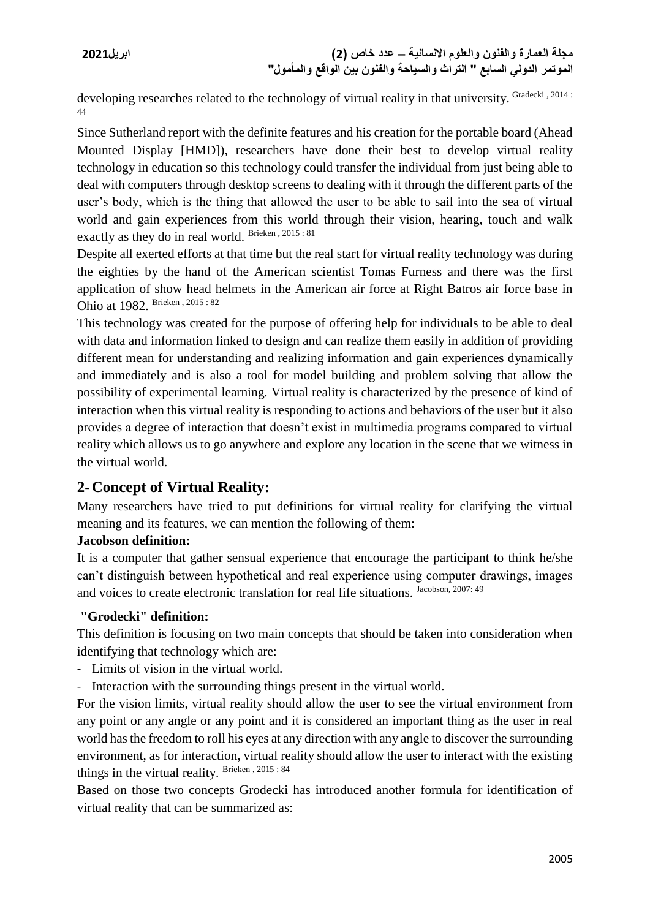developing researches related to the technology of virtual reality in that university. Gradecki, 2014: 44

Since Sutherland report with the definite features and his creation for the portable board (Ahead Mounted Display [HMD]), researchers have done their best to develop virtual reality technology in education so this technology could transfer the individual from just being able to deal with computers through desktop screens to dealing with it through the different parts of the user's body, which is the thing that allowed the user to be able to sail into the sea of virtual world and gain experiences from this world through their vision, hearing, touch and walk exactly as they do in real world. Brieken , 2015 : 81

Despite all exerted efforts at that time but the real start for virtual reality technology was during the eighties by the hand of the American scientist Tomas Furness and there was the first application of show head helmets in the American air force at Right Batros air force base in Ohio at 1982. Brieken , 2015 : 82

This technology was created for the purpose of offering help for individuals to be able to deal with data and information linked to design and can realize them easily in addition of providing different mean for understanding and realizing information and gain experiences dynamically and immediately and is also a tool for model building and problem solving that allow the possibility of experimental learning. Virtual reality is characterized by the presence of kind of interaction when this virtual reality is responding to actions and behaviors of the user but it also provides a degree of interaction that doesn't exist in multimedia programs compared to virtual reality which allows us to go anywhere and explore any location in the scene that we witness in the virtual world.

# **2-Concept of Virtual Reality:**

Many researchers have tried to put definitions for virtual reality for clarifying the virtual meaning and its features, we can mention the following of them:

# **Jacobson definition:**

It is a computer that gather sensual experience that encourage the participant to think he/she can't distinguish between hypothetical and real experience using computer drawings, images and voices to create electronic translation for real life situations. Jacobson, 2007: 49

# **"Grodecki" definition:**

This definition is focusing on two main concepts that should be taken into consideration when identifying that technology which are:

- Limits of vision in the virtual world.
- Interaction with the surrounding things present in the virtual world.

For the vision limits, virtual reality should allow the user to see the virtual environment from any point or any angle or any point and it is considered an important thing as the user in real world has the freedom to roll his eyes at any direction with any angle to discover the surrounding environment, as for interaction, virtual reality should allow the user to interact with the existing things in the virtual reality. Brieken , 2015 : 84

Based on those two concepts Grodecki has introduced another formula for identification of virtual reality that can be summarized as: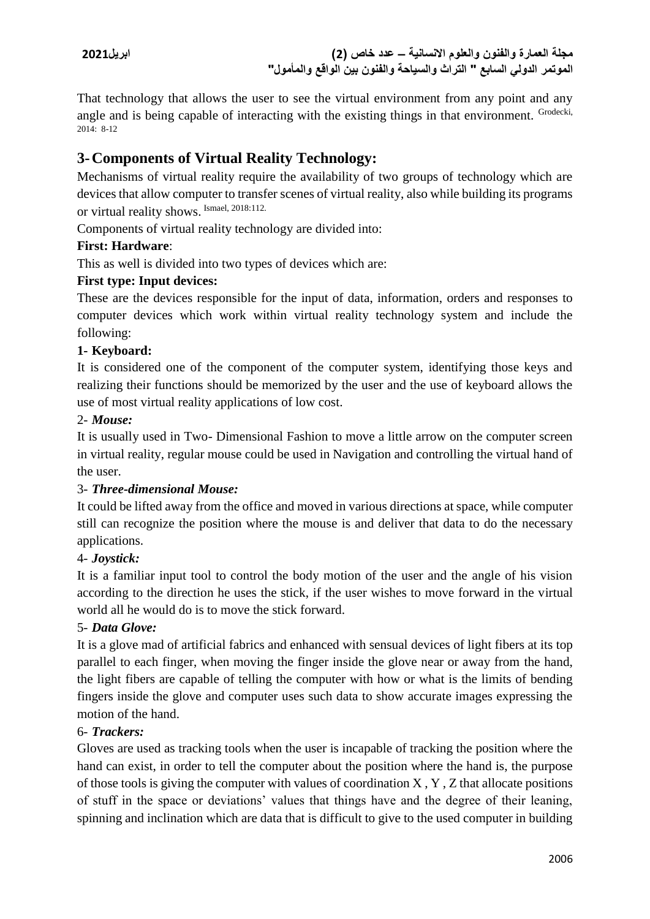That technology that allows the user to see the virtual environment from any point and any angle and is being capable of interacting with the existing things in that environment. Grodecki, 2014: 8-12

# **3-Components of Virtual Reality Technology:**

Mechanisms of virtual reality require the availability of two groups of technology which are devices that allow computer to transfer scenes of virtual reality, also while building its programs or virtual reality shows. Ismael, 2018:112.

Components of virtual reality technology are divided into:

## **First: Hardware**:

This as well is divided into two types of devices which are:

## **First type: Input devices:**

These are the devices responsible for the input of data, information, orders and responses to computer devices which work within virtual reality technology system and include the following:

## **1- Keyboard:**

It is considered one of the component of the computer system, identifying those keys and realizing their functions should be memorized by the user and the use of keyboard allows the use of most virtual reality applications of low cost.

## 2- *Mouse:*

It is usually used in Two- Dimensional Fashion to move a little arrow on the computer screen in virtual reality, regular mouse could be used in Navigation and controlling the virtual hand of the user.

# 3- *Three-dimensional Mouse:*

It could be lifted away from the office and moved in various directions at space, while computer still can recognize the position where the mouse is and deliver that data to do the necessary applications.

# 4- *Joystick:*

It is a familiar input tool to control the body motion of the user and the angle of his vision according to the direction he uses the stick, if the user wishes to move forward in the virtual world all he would do is to move the stick forward.

# 5- *Data Glove:*

It is a glove mad of artificial fabrics and enhanced with sensual devices of light fibers at its top parallel to each finger, when moving the finger inside the glove near or away from the hand, the light fibers are capable of telling the computer with how or what is the limits of bending fingers inside the glove and computer uses such data to show accurate images expressing the motion of the hand.

## 6- *Trackers:*

Gloves are used as tracking tools when the user is incapable of tracking the position where the hand can exist, in order to tell the computer about the position where the hand is, the purpose of those tools is giving the computer with values of coordination X , Y , Z that allocate positions of stuff in the space or deviations' values that things have and the degree of their leaning, spinning and inclination which are data that is difficult to give to the used computer in building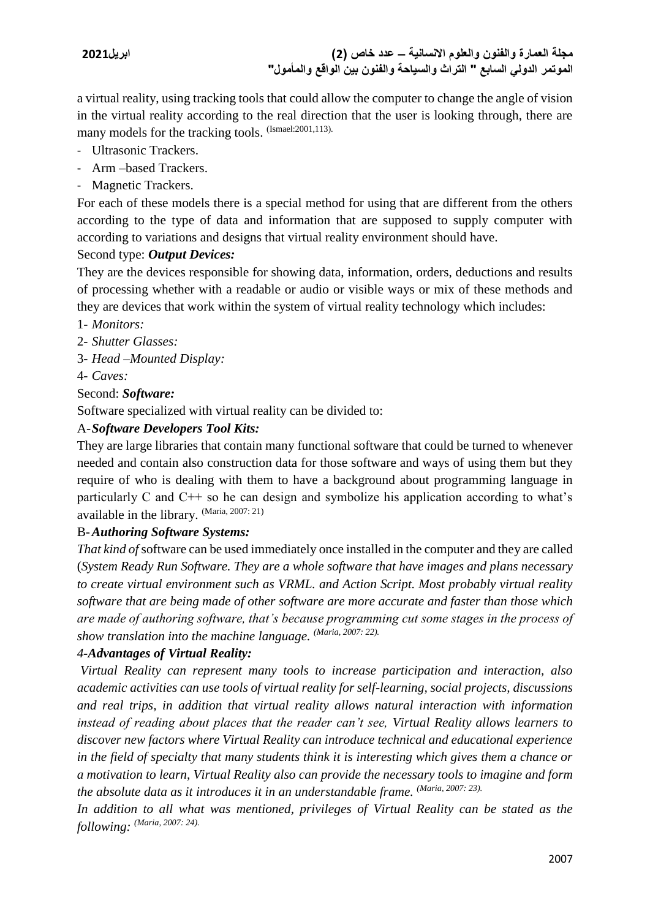a virtual reality, using tracking tools that could allow the computer to change the angle of vision in the virtual reality according to the real direction that the user is looking through, there are many models for the tracking tools. (Ismael: 2001,113).

- Ultrasonic Trackers.
- Arm –based Trackers.
- Magnetic Trackers.

For each of these models there is a special method for using that are different from the others according to the type of data and information that are supposed to supply computer with according to variations and designs that virtual reality environment should have.

# Second type: *Output Devices:*

They are the devices responsible for showing data, information, orders, deductions and results of processing whether with a readable or audio or visible ways or mix of these methods and they are devices that work within the system of virtual reality technology which includes:

- 1- *Monitors:*
- 2- *Shutter Glasses:*
- 3- *Head –Mounted Display:*
- 4- *Caves:*

# Second: *Software:*

Software specialized with virtual reality can be divided to:

# A-*Software Developers Tool Kits:*

They are large libraries that contain many functional software that could be turned to whenever needed and contain also construction data for those software and ways of using them but they require of who is dealing with them to have a background about programming language in particularly C and C++ so he can design and symbolize his application according to what's available in the library. (Maria, 2007: 21)

# B-*Authoring Software Systems:*

*That kind of* software can be used immediately once installed in the computer and they are called (*System Ready Run Software. They are a whole software that have images and plans necessary to create virtual environment such as VRML. and Action Script. Most probably virtual reality software that are being made of other software are more accurate and faster than those which are made of authoring software, that's because programming cut some stages in the process of show translation into the machine language. (Maria, 2007: 22).*

## *4-Advantages of Virtual Reality:*

*Virtual Reality can represent many tools to increase participation and interaction, also academic activities can use tools of virtual reality for self-learning, social projects, discussions and real trips, in addition that virtual reality allows natural interaction with information instead of reading about places that the reader can't see, Virtual Reality allows learners to discover new factors where Virtual Reality can introduce technical and educational experience in the field of specialty that many students think it is interesting which gives them a chance or a motivation to learn, Virtual Reality also can provide the necessary tools to imagine and form the absolute data as it introduces it in an understandable frame. (Maria, 2007: 23).*

*In addition to all what was mentioned, privileges of Virtual Reality can be stated as the following: (Maria, 2007: 24).*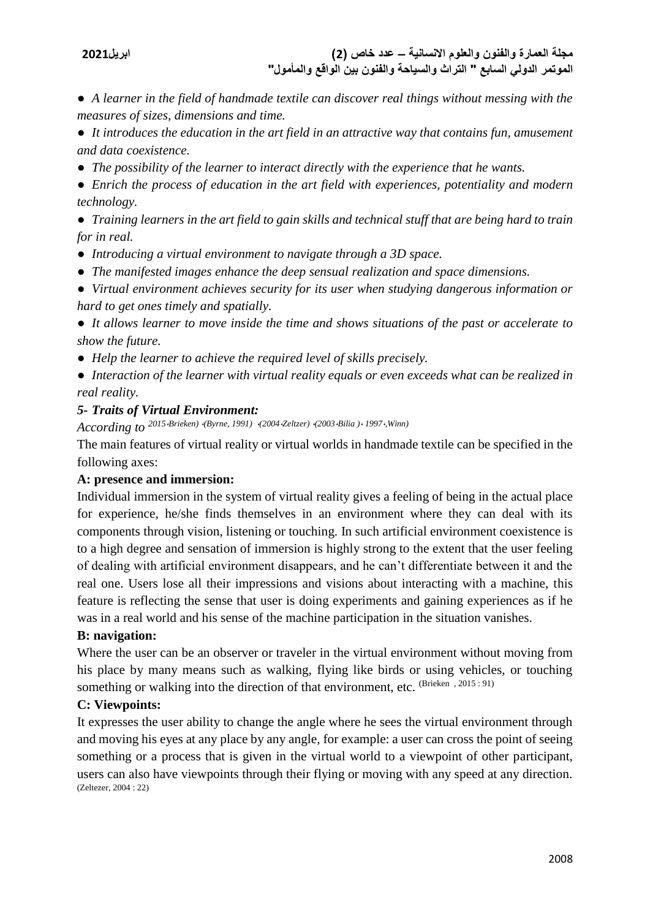● *A learner in the field of handmade textile can discover real things without messing with the measures of sizes, dimensions and time.*

● *It introduces the education in the art field in an attractive way that contains fun, amusement and data coexistence.*

● *The possibility of the learner to interact directly with the experience that he wants.*

● *Enrich the process of education in the art field with experiences, potentiality and modern technology.*

● *Training learners in the art field to gain skills and technical stuff that are being hard to train for in real.*

- *Introducing a virtual environment to navigate through a 3D space.*
- *The manifested images enhance the deep sensual realization and space dimensions.*

● *Virtual environment achieves security for its user when studying dangerous information or hard to get ones timely and spatially.* 

● *It allows learner to move inside the time and shows situations of the past or accelerate to show the future.*

● *Help the learner to achieve the required level of skills precisely.*

● *Interaction of the learner with virtual reality equals or even exceeds what can be realized in real reality.*

## *5- Traits of Virtual Environment:*

*According to <sup>2015</sup>*،*Brieken)* ،*(Byrne, 1991)* ،*(2004*،*Zeltzer)* ،*(2003*،*Bilia )*، *<sup>1997</sup>*،*,Winn)*

The main features of virtual reality or virtual worlds in handmade textile can be specified in the following axes:

## **A: presence and immersion:**

Individual immersion in the system of virtual reality gives a feeling of being in the actual place for experience, he/she finds themselves in an environment where they can deal with its components through vision, listening or touching. In such artificial environment coexistence is to a high degree and sensation of immersion is highly strong to the extent that the user feeling of dealing with artificial environment disappears, and he can't differentiate between it and the real one. Users lose all their impressions and visions about interacting with a machine, this feature is reflecting the sense that user is doing experiments and gaining experiences as if he was in a real world and his sense of the machine participation in the situation vanishes.

## **B: navigation:**

Where the user can be an observer or traveler in the virtual environment without moving from his place by many means such as walking, flying like birds or using vehicles, or touching something or walking into the direction of that environment, etc. (Brieken , 2015 : 91)

## **C: Viewpoints:**

It expresses the user ability to change the angle where he sees the virtual environment through and moving his eyes at any place by any angle, for example: a user can cross the point of seeing something or a process that is given in the virtual world to a viewpoint of other participant, users can also have viewpoints through their flying or moving with any speed at any direction. (Zeltezer, 2004 : 22)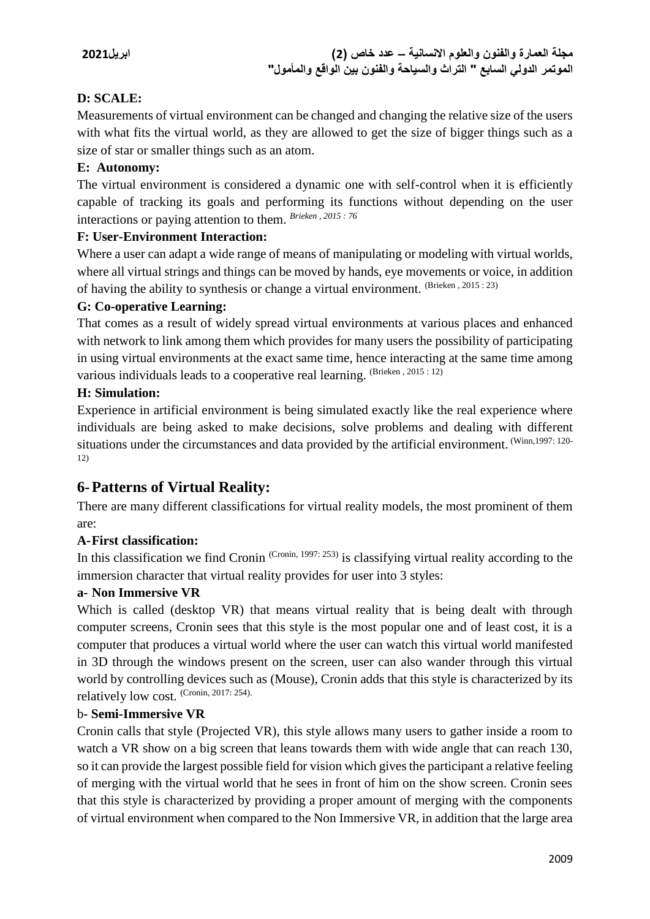# **D: SCALE:**

Measurements of virtual environment can be changed and changing the relative size of the users with what fits the virtual world, as they are allowed to get the size of bigger things such as a size of star or smaller things such as an atom.

## **E: Autonomy:**

The virtual environment is considered a dynamic one with self-control when it is efficiently capable of tracking its goals and performing its functions without depending on the user interactions or paying attention to them. *Brieken , 2015 : 76*

## **F: User-Environment Interaction:**

Where a user can adapt a wide range of means of manipulating or modeling with virtual worlds, where all virtual strings and things can be moved by hands, eye movements or voice, in addition of having the ability to synthesis or change a virtual environment. (Brieken , 2015 : 23)

## **G: Co-operative Learning:**

That comes as a result of widely spread virtual environments at various places and enhanced with network to link among them which provides for many users the possibility of participating in using virtual environments at the exact same time, hence interacting at the same time among various individuals leads to a cooperative real learning. (Brieken, 2015 : 12)

## **H: Simulation:**

Experience in artificial environment is being simulated exactly like the real experience where individuals are being asked to make decisions, solve problems and dealing with different situations under the circumstances and data provided by the artificial environment. (Winn,1997: 120- 12)

# **6-Patterns of Virtual Reality:**

There are many different classifications for virtual reality models, the most prominent of them are:

# **A-First classification:**

In this classification we find Cronin  $(Croin, 1997: 253)$  is classifying virtual reality according to the immersion character that virtual reality provides for user into 3 styles:

# **a- Non Immersive VR**

Which is called (desktop VR) that means virtual reality that is being dealt with through computer screens, Cronin sees that this style is the most popular one and of least cost, it is a computer that produces a virtual world where the user can watch this virtual world manifested in 3D through the windows present on the screen, user can also wander through this virtual world by controlling devices such as (Mouse), Cronin adds that this style is characterized by its relatively low cost. (Cronin, 2017: 254).

## b- **Semi-Immersive VR**

Cronin calls that style (Projected VR), this style allows many users to gather inside a room to watch a VR show on a big screen that leans towards them with wide angle that can reach 130, so it can provide the largest possible field for vision which gives the participant a relative feeling of merging with the virtual world that he sees in front of him on the show screen. Cronin sees that this style is characterized by providing a proper amount of merging with the components of virtual environment when compared to the Non Immersive VR, in addition that the large area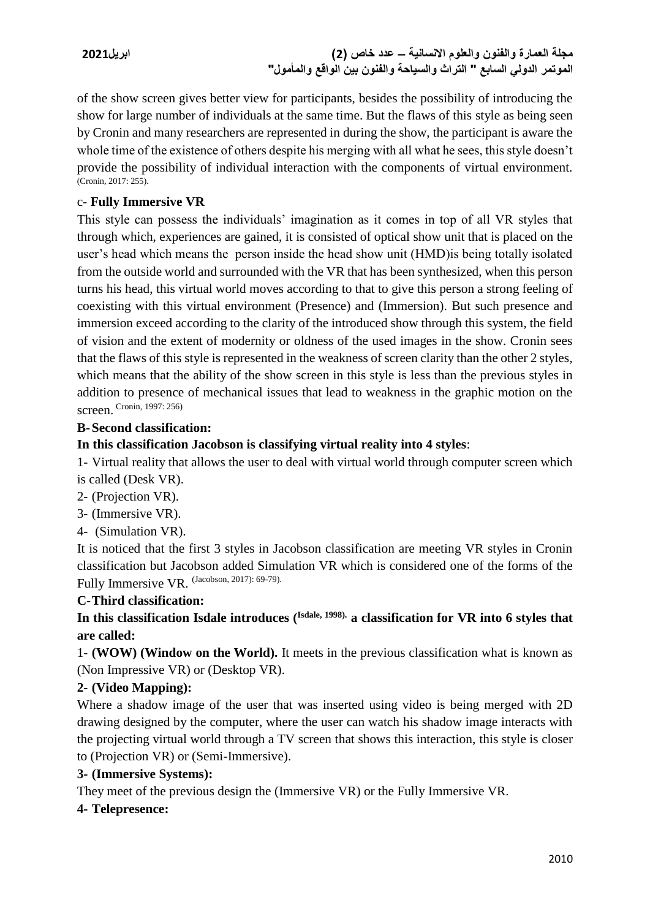**مجلة العمارة والفنون والعلوم االنسانية – عدد خاص )2( ابريل2021 الموتمر الدولي السابع " التراث والسياحة والفنون بين الواقع والمأمول"**

of the show screen gives better view for participants, besides the possibility of introducing the show for large number of individuals at the same time. But the flaws of this style as being seen by Cronin and many researchers are represented in during the show, the participant is aware the whole time of the existence of others despite his merging with all what he sees, this style doesn't provide the possibility of individual interaction with the components of virtual environment. (Cronin, 2017: 255).

## c- **Fully Immersive VR**

This style can possess the individuals' imagination as it comes in top of all VR styles that through which, experiences are gained, it is consisted of optical show unit that is placed on the user's head which means the person inside the head show unit (HMD)is being totally isolated from the outside world and surrounded with the VR that has been synthesized, when this person turns his head, this virtual world moves according to that to give this person a strong feeling of coexisting with this virtual environment (Presence) and (Immersion). But such presence and immersion exceed according to the clarity of the introduced show through this system, the field of vision and the extent of modernity or oldness of the used images in the show. Cronin sees that the flaws of this style is represented in the weakness of screen clarity than the other 2 styles, which means that the ability of the show screen in this style is less than the previous styles in addition to presence of mechanical issues that lead to weakness in the graphic motion on the screen. Cronin, 1997: 256)

## **B-Second classification:**

## **In this classification Jacobson is classifying virtual reality into 4 styles**:

1- Virtual reality that allows the user to deal with virtual world through computer screen which is called (Desk VR).

- 2- (Projection VR).
- 3- (Immersive VR).
- 4- (Simulation VR).

It is noticed that the first 3 styles in Jacobson classification are meeting VR styles in Cronin classification but Jacobson added Simulation VR which is considered one of the forms of the Fully Immersive VR. (Jacobson, 2017): 69-79).

## **C-Third classification:**

# In this classification Isdale introduces (<sup>Isdale, 1998).</sup> a classification for VR into 6 styles that **are called:**

1- **(WOW) (Window on the World).** It meets in the previous classification what is known as (Non Impressive VR) or (Desktop VR).

## **2- (Video Mapping):**

Where a shadow image of the user that was inserted using video is being merged with 2D drawing designed by the computer, where the user can watch his shadow image interacts with the projecting virtual world through a TV screen that shows this interaction, this style is closer to (Projection VR) or (Semi-Immersive).

## **3- (Immersive Systems):**

They meet of the previous design the (Immersive VR) or the Fully Immersive VR.

## **4- Telepresence:**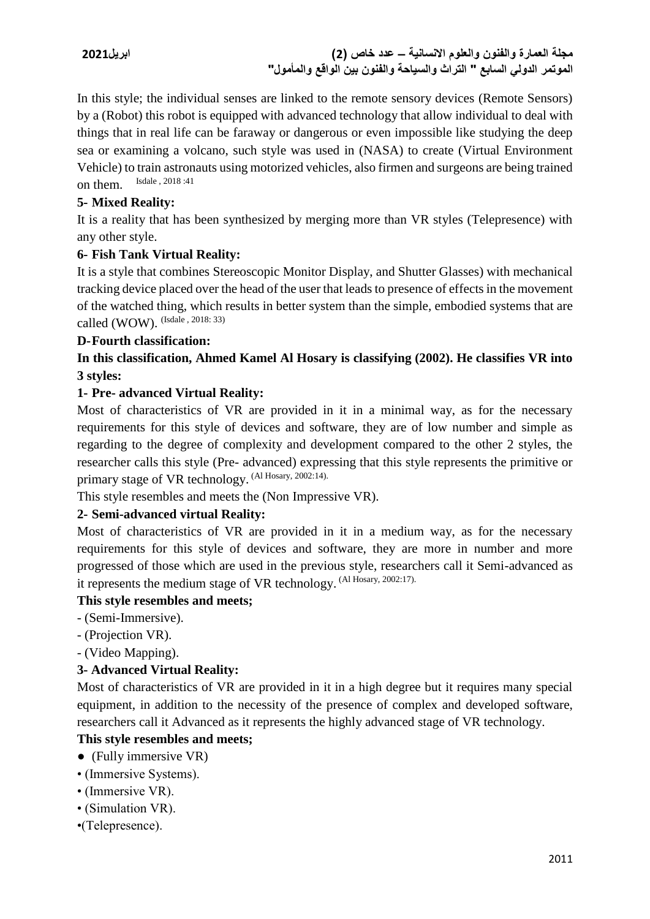**مجلة العمارة والفنون والعلوم االنسانية – عدد خاص )2( ابريل2021 الموتمر الدولي السابع " التراث والسياحة والفنون بين الواقع والمأمول"**

In this style; the individual senses are linked to the remote sensory devices (Remote Sensors) by a (Robot) this robot is equipped with advanced technology that allow individual to deal with things that in real life can be faraway or dangerous or even impossible like studying the deep sea or examining a volcano, such style was used in (NASA) to create (Virtual Environment Vehicle) to train astronauts using motorized vehicles, also firmen and surgeons are being trained on them. Isdale , 2018 :41

## **5- Mixed Reality:**

It is a reality that has been synthesized by merging more than VR styles (Telepresence) with any other style.

## **6- Fish Tank Virtual Reality:**

It is a style that combines Stereoscopic Monitor Display, and Shutter Glasses) with mechanical tracking device placed over the head of the user that leads to presence of effects in the movement of the watched thing, which results in better system than the simple, embodied systems that are called (WOW). (Isdale , 2018: 33)

## **D-Fourth classification:**

# **In this classification, Ahmed Kamel Al Hosary is classifying (2002). He classifies VR into 3 styles:**

## **1- Pre- advanced Virtual Reality:**

Most of characteristics of VR are provided in it in a minimal way, as for the necessary requirements for this style of devices and software, they are of low number and simple as regarding to the degree of complexity and development compared to the other 2 styles, the researcher calls this style (Pre- advanced) expressing that this style represents the primitive or primary stage of VR technology. (Al Hosary, 2002:14).

This style resembles and meets the (Non Impressive VR).

# **2- Semi-advanced virtual Reality:**

Most of characteristics of VR are provided in it in a medium way, as for the necessary requirements for this style of devices and software, they are more in number and more progressed of those which are used in the previous style, researchers call it Semi-advanced as it represents the medium stage of VR technology. (Al Hosary, 2002:17).

## **This style resembles and meets;**

- (Semi-Immersive).
- (Projection VR).
- (Video Mapping).

## **3- Advanced Virtual Reality:**

Most of characteristics of VR are provided in it in a high degree but it requires many special equipment, in addition to the necessity of the presence of complex and developed software, researchers call it Advanced as it represents the highly advanced stage of VR technology.

## **This style resembles and meets;**

- (Fully immersive VR)
- (Immersive Systems).
- (Immersive VR).
- (Simulation VR).
- •(Telepresence).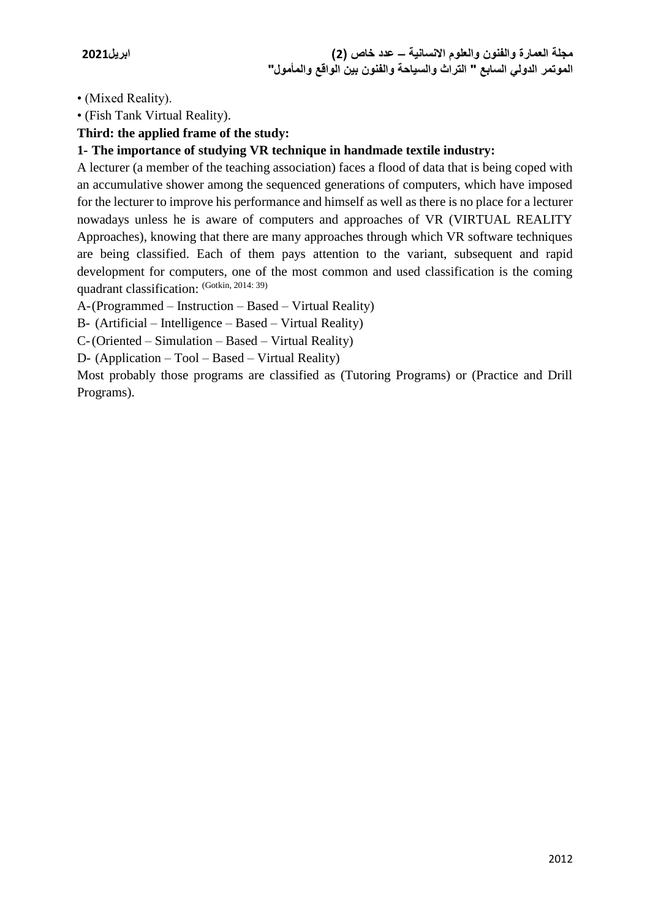• (Mixed Reality).

• (Fish Tank Virtual Reality).

## **Third: the applied frame of the study:**

## **1- The importance of studying VR technique in handmade textile industry:**

A lecturer (a member of the teaching association) faces a flood of data that is being coped with an accumulative shower among the sequenced generations of computers, which have imposed for the lecturer to improve his performance and himself as well as there is no place for a lecturer nowadays unless he is aware of computers and approaches of VR (VIRTUAL REALITY Approaches), knowing that there are many approaches through which VR software techniques are being classified. Each of them pays attention to the variant, subsequent and rapid development for computers, one of the most common and used classification is the coming quadrant classification: (Gotkin, 2014: 39)

A-(Programmed – Instruction – Based – Virtual Reality)

B- (Artificial – Intelligence – Based – Virtual Reality)

C-(Oriented – Simulation – Based – Virtual Reality)

D- (Application – Tool – Based – Virtual Reality)

Most probably those programs are classified as (Tutoring Programs) or (Practice and Drill Programs).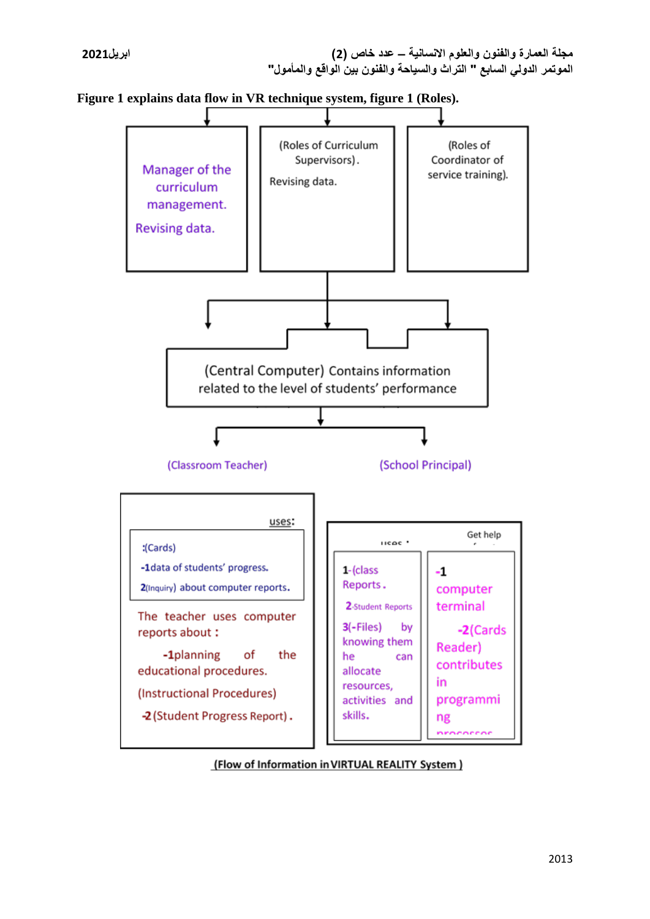



(Flow of Information in VIRTUAL REALITY System)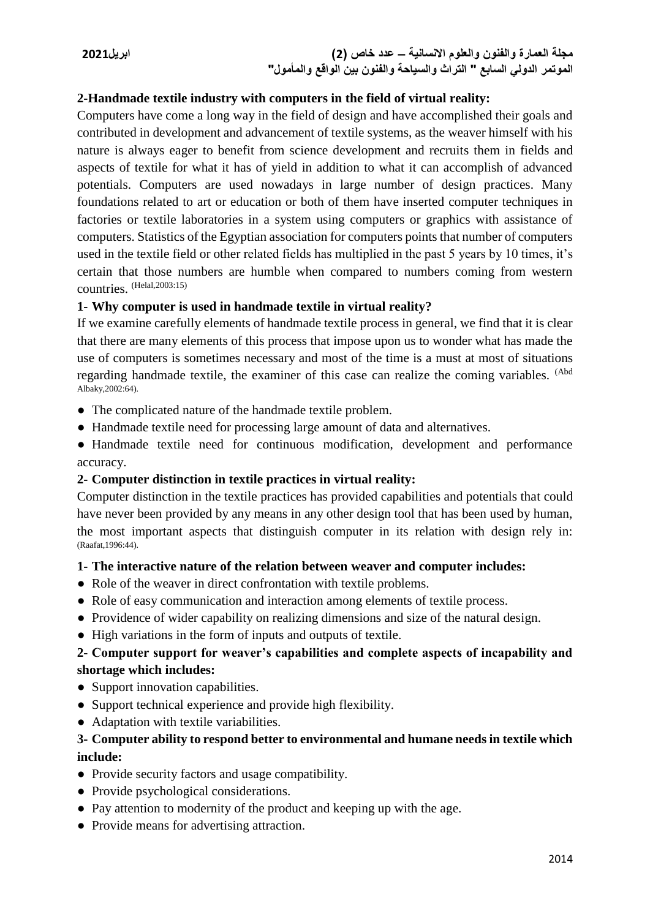## **2-Handmade textile industry with computers in the field of virtual reality:**

Computers have come a long way in the field of design and have accomplished their goals and contributed in development and advancement of textile systems, as the weaver himself with his nature is always eager to benefit from science development and recruits them in fields and aspects of textile for what it has of yield in addition to what it can accomplish of advanced potentials. Computers are used nowadays in large number of design practices. Many foundations related to art or education or both of them have inserted computer techniques in factories or textile laboratories in a system using computers or graphics with assistance of computers. Statistics of the Egyptian association for computers points that number of computers used in the textile field or other related fields has multiplied in the past 5 years by 10 times, it's certain that those numbers are humble when compared to numbers coming from western countries. (Helal,2003:15)

## **1- Why computer is used in handmade textile in virtual reality?**

If we examine carefully elements of handmade textile process in general, we find that it is clear that there are many elements of this process that impose upon us to wonder what has made the use of computers is sometimes necessary and most of the time is a must at most of situations regarding handmade textile, the examiner of this case can realize the coming variables. (Abd Albaky,2002:64).

- The complicated nature of the handmade textile problem.
- Handmade textile need for processing large amount of data and alternatives.
- Handmade textile need for continuous modification, development and performance accuracy.

# **2- Computer distinction in textile practices in virtual reality:**

Computer distinction in the textile practices has provided capabilities and potentials that could have never been provided by any means in any other design tool that has been used by human, the most important aspects that distinguish computer in its relation with design rely in: (Raafat,1996:44).

## **1- The interactive nature of the relation between weaver and computer includes:**

- Role of the weaver in direct confrontation with textile problems.
- Role of easy communication and interaction among elements of textile process.
- Providence of wider capability on realizing dimensions and size of the natural design.
- High variations in the form of inputs and outputs of textile.

## **2- Computer support for weaver's capabilities and complete aspects of incapability and shortage which includes:**

- Support innovation capabilities.
- Support technical experience and provide high flexibility.
- Adaptation with textile variabilities.

# **3- Computer ability to respond better to environmental and humane needs in textile which include:**

- Provide security factors and usage compatibility.
- Provide psychological considerations.
- Pay attention to modernity of the product and keeping up with the age.
- Provide means for advertising attraction.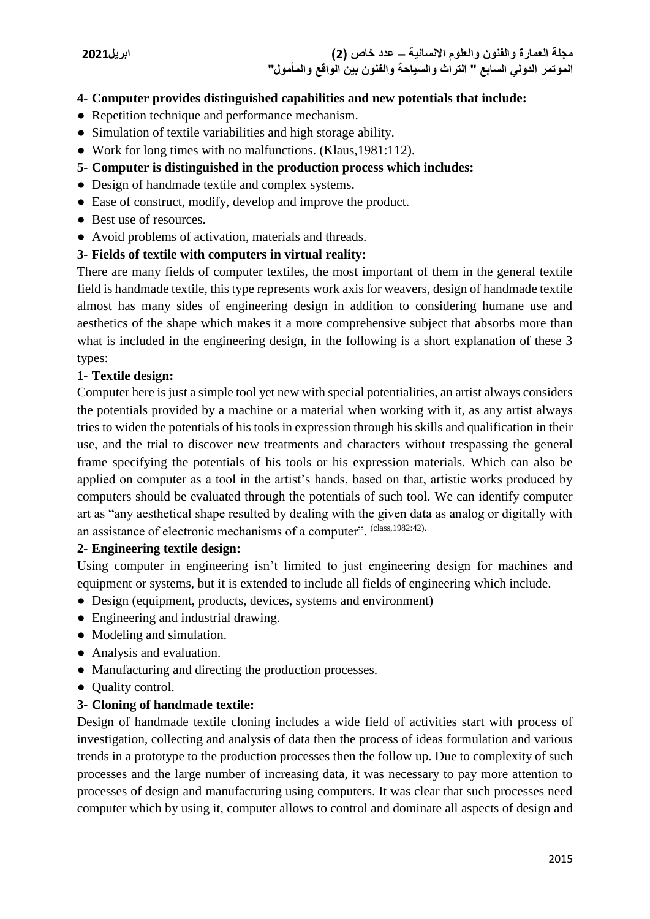## **4- Computer provides distinguished capabilities and new potentials that include:**

- Repetition technique and performance mechanism.
- Simulation of textile variabilities and high storage ability.
- Work for long times with no malfunctions. (Klaus,1981:112).
- **5- Computer is distinguished in the production process which includes:**
- Design of handmade textile and complex systems.
- Ease of construct, modify, develop and improve the product.
- Best use of resources.
- Avoid problems of activation, materials and threads.

#### **3- Fields of textile with computers in virtual reality:**

There are many fields of computer textiles, the most important of them in the general textile field is handmade textile, this type represents work axis for weavers, design of handmade textile almost has many sides of engineering design in addition to considering humane use and aesthetics of the shape which makes it a more comprehensive subject that absorbs more than what is included in the engineering design, in the following is a short explanation of these 3 types:

#### **1- Textile design:**

Computer here is just a simple tool yet new with special potentialities, an artist always considers the potentials provided by a machine or a material when working with it, as any artist always tries to widen the potentials of his tools in expression through his skills and qualification in their use, and the trial to discover new treatments and characters without trespassing the general frame specifying the potentials of his tools or his expression materials. Which can also be applied on computer as a tool in the artist's hands, based on that, artistic works produced by computers should be evaluated through the potentials of such tool. We can identify computer art as "any aesthetical shape resulted by dealing with the given data as analog or digitally with an assistance of electronic mechanisms of a computer". (class,1982:42).

#### **2- Engineering textile design:**

Using computer in engineering isn't limited to just engineering design for machines and equipment or systems, but it is extended to include all fields of engineering which include.

- Design (equipment, products, devices, systems and environment)
- Engineering and industrial drawing.
- Modeling and simulation.
- Analysis and evaluation.
- Manufacturing and directing the production processes.
- Ouality control.

#### **3- Cloning of handmade textile:**

Design of handmade textile cloning includes a wide field of activities start with process of investigation, collecting and analysis of data then the process of ideas formulation and various trends in a prototype to the production processes then the follow up. Due to complexity of such processes and the large number of increasing data, it was necessary to pay more attention to processes of design and manufacturing using computers. It was clear that such processes need computer which by using it, computer allows to control and dominate all aspects of design and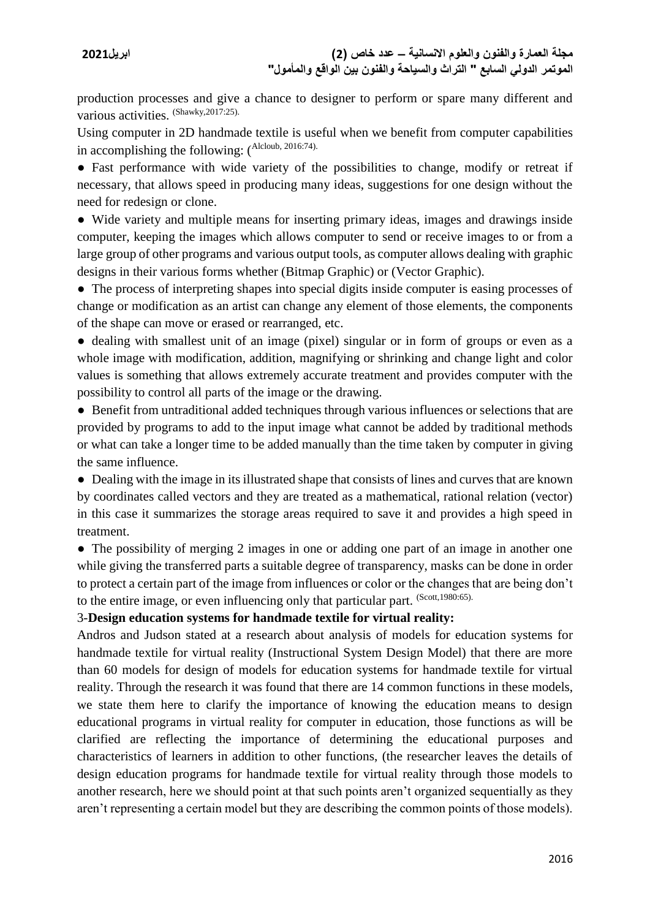production processes and give a chance to designer to perform or spare many different and various activities. (Shawky,2017:25).

Using computer in 2D handmade textile is useful when we benefit from computer capabilities in accomplishing the following: (Alcloub, 2016:74).

● Fast performance with wide variety of the possibilities to change, modify or retreat if necessary, that allows speed in producing many ideas, suggestions for one design without the need for redesign or clone.

● Wide variety and multiple means for inserting primary ideas, images and drawings inside computer, keeping the images which allows computer to send or receive images to or from a large group of other programs and various output tools, as computer allows dealing with graphic designs in their various forms whether (Bitmap Graphic) or (Vector Graphic).

• The process of interpreting shapes into special digits inside computer is easing processes of change or modification as an artist can change any element of those elements, the components of the shape can move or erased or rearranged, etc.

● dealing with smallest unit of an image (pixel) singular or in form of groups or even as a whole image with modification, addition, magnifying or shrinking and change light and color values is something that allows extremely accurate treatment and provides computer with the possibility to control all parts of the image or the drawing.

• Benefit from untraditional added techniques through various influences or selections that are provided by programs to add to the input image what cannot be added by traditional methods or what can take a longer time to be added manually than the time taken by computer in giving the same influence.

● Dealing with the image in its illustrated shape that consists of lines and curves that are known by coordinates called vectors and they are treated as a mathematical, rational relation (vector) in this case it summarizes the storage areas required to save it and provides a high speed in treatment.

• The possibility of merging 2 images in one or adding one part of an image in another one while giving the transferred parts a suitable degree of transparency, masks can be done in order to protect a certain part of the image from influences or color or the changes that are being don't to the entire image, or even influencing only that particular part. (Scott,1980:65).

## 3-**Design education systems for handmade textile for virtual reality:**

Andros and Judson stated at a research about analysis of models for education systems for handmade textile for virtual reality (Instructional System Design Model) that there are more than 60 models for design of models for education systems for handmade textile for virtual reality. Through the research it was found that there are 14 common functions in these models, we state them here to clarify the importance of knowing the education means to design educational programs in virtual reality for computer in education, those functions as will be clarified are reflecting the importance of determining the educational purposes and characteristics of learners in addition to other functions, (the researcher leaves the details of design education programs for handmade textile for virtual reality through those models to another research, here we should point at that such points aren't organized sequentially as they aren't representing a certain model but they are describing the common points of those models).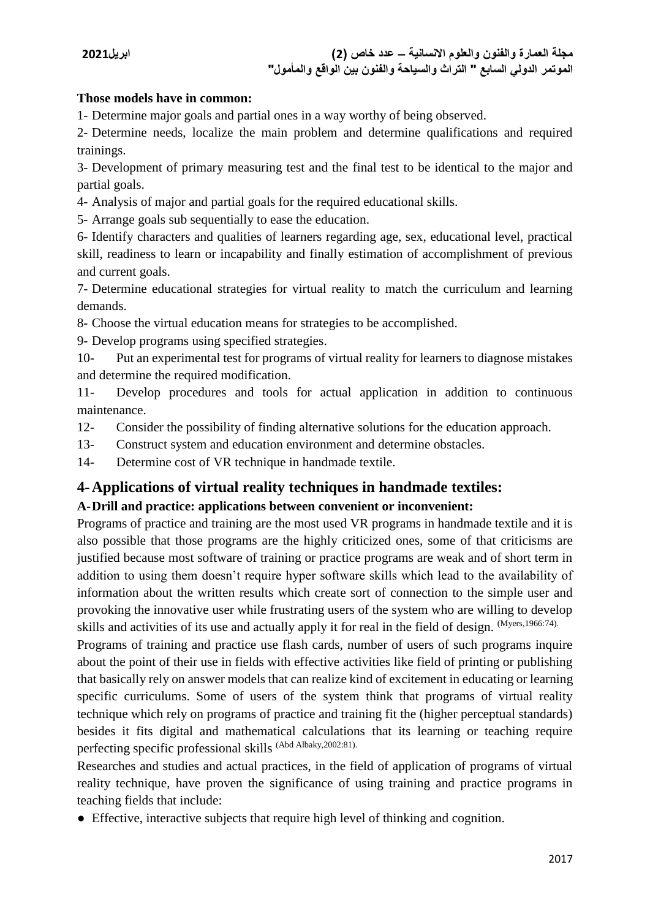## **Those models have in common:**

1- Determine major goals and partial ones in a way worthy of being observed.

2- Determine needs, localize the main problem and determine qualifications and required trainings.

3- Development of primary measuring test and the final test to be identical to the major and partial goals.

4- Analysis of major and partial goals for the required educational skills.

5- Arrange goals sub sequentially to ease the education.

6- Identify characters and qualities of learners regarding age, sex, educational level, practical skill, readiness to learn or incapability and finally estimation of accomplishment of previous and current goals.

7- Determine educational strategies for virtual reality to match the curriculum and learning demands.

8- Choose the virtual education means for strategies to be accomplished.

9- Develop programs using specified strategies.

10- Put an experimental test for programs of virtual reality for learners to diagnose mistakes and determine the required modification.

11- Develop procedures and tools for actual application in addition to continuous maintenance.

12- Consider the possibility of finding alternative solutions for the education approach.

13- Construct system and education environment and determine obstacles.

14- Determine cost of VR technique in handmade textile.

# **4-Applications of virtual reality techniques in handmade textiles:**

## **A-Drill and practice: applications between convenient or inconvenient:**

Programs of practice and training are the most used VR programs in handmade textile and it is also possible that those programs are the highly criticized ones, some of that criticisms are justified because most software of training or practice programs are weak and of short term in addition to using them doesn't require hyper software skills which lead to the availability of information about the written results which create sort of connection to the simple user and provoking the innovative user while frustrating users of the system who are willing to develop skills and activities of its use and actually apply it for real in the field of design. (Myers,1966:74).

Programs of training and practice use flash cards, number of users of such programs inquire about the point of their use in fields with effective activities like field of printing or publishing that basically rely on answer models that can realize kind of excitement in educating or learning specific curriculums. Some of users of the system think that programs of virtual reality technique which rely on programs of practice and training fit the (higher perceptual standards) besides it fits digital and mathematical calculations that its learning or teaching require perfecting specific professional skills (Abd Albaky,2002:81).

Researches and studies and actual practices, in the field of application of programs of virtual reality technique, have proven the significance of using training and practice programs in teaching fields that include:

● Effective, interactive subjects that require high level of thinking and cognition.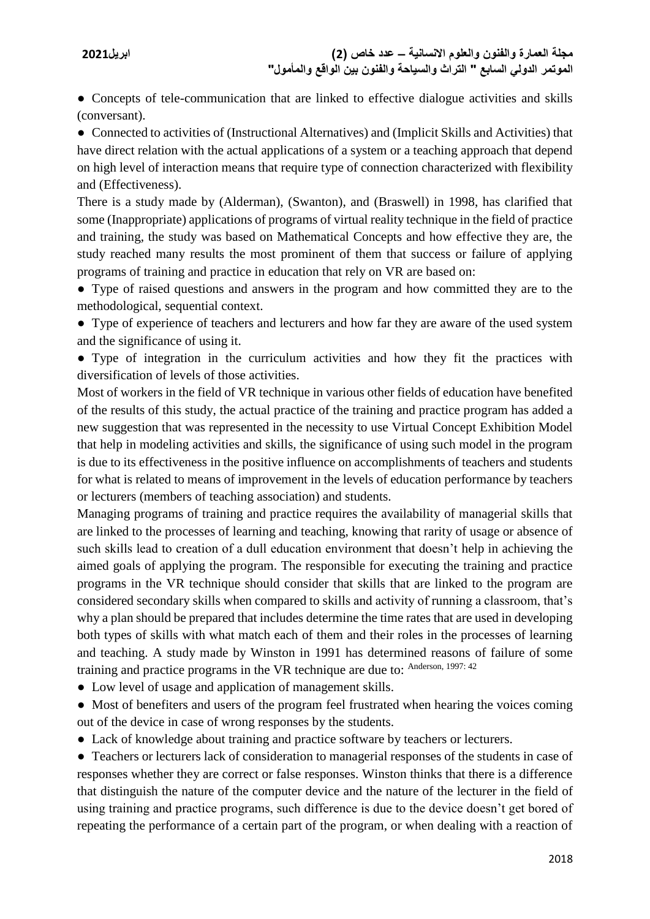• Concepts of tele-communication that are linked to effective dialogue activities and skills (conversant).

● Connected to activities of (Instructional Alternatives) and (Implicit Skills and Activities) that have direct relation with the actual applications of a system or a teaching approach that depend on high level of interaction means that require type of connection characterized with flexibility and (Effectiveness).

There is a study made by (Alderman), (Swanton), and (Braswell) in 1998, has clarified that some (Inappropriate) applications of programs of virtual reality technique in the field of practice and training, the study was based on Mathematical Concepts and how effective they are, the study reached many results the most prominent of them that success or failure of applying programs of training and practice in education that rely on VR are based on:

● Type of raised questions and answers in the program and how committed they are to the methodological, sequential context.

• Type of experience of teachers and lecturers and how far they are aware of the used system and the significance of using it.

● Type of integration in the curriculum activities and how they fit the practices with diversification of levels of those activities.

Most of workers in the field of VR technique in various other fields of education have benefited of the results of this study, the actual practice of the training and practice program has added a new suggestion that was represented in the necessity to use Virtual Concept Exhibition Model that help in modeling activities and skills, the significance of using such model in the program is due to its effectiveness in the positive influence on accomplishments of teachers and students for what is related to means of improvement in the levels of education performance by teachers or lecturers (members of teaching association) and students.

Managing programs of training and practice requires the availability of managerial skills that are linked to the processes of learning and teaching, knowing that rarity of usage or absence of such skills lead to creation of a dull education environment that doesn't help in achieving the aimed goals of applying the program. The responsible for executing the training and practice programs in the VR technique should consider that skills that are linked to the program are considered secondary skills when compared to skills and activity of running a classroom, that's why a plan should be prepared that includes determine the time rates that are used in developing both types of skills with what match each of them and their roles in the processes of learning and teaching. A study made by Winston in 1991 has determined reasons of failure of some training and practice programs in the VR technique are due to: Anderson, 1997: 42

- Low level of usage and application of management skills.
- Most of benefiters and users of the program feel frustrated when hearing the voices coming out of the device in case of wrong responses by the students.
- Lack of knowledge about training and practice software by teachers or lecturers.

● Teachers or lecturers lack of consideration to managerial responses of the students in case of responses whether they are correct or false responses. Winston thinks that there is a difference that distinguish the nature of the computer device and the nature of the lecturer in the field of using training and practice programs, such difference is due to the device doesn't get bored of repeating the performance of a certain part of the program, or when dealing with a reaction of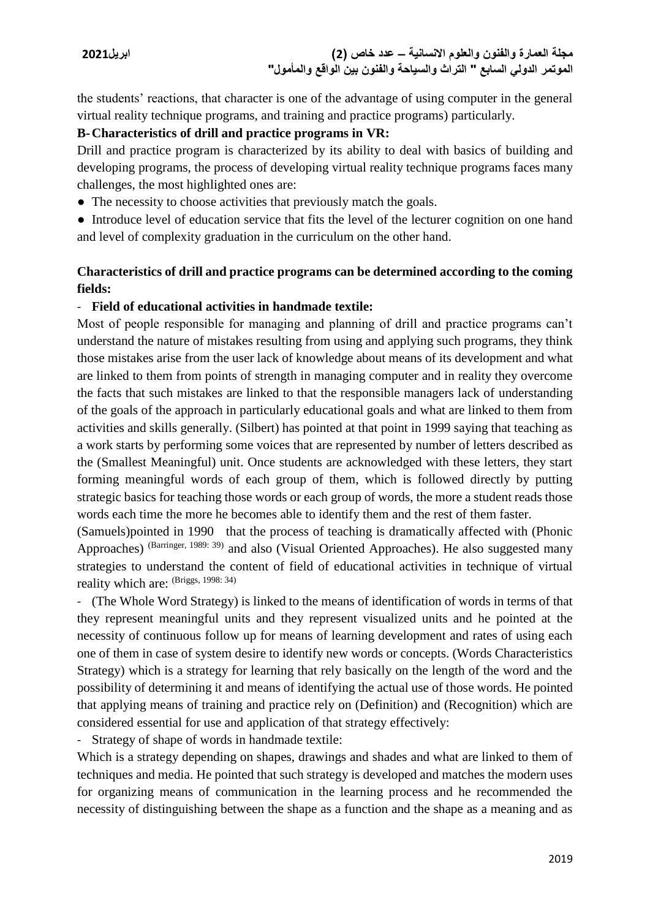the students' reactions, that character is one of the advantage of using computer in the general virtual reality technique programs, and training and practice programs) particularly.

## **B-Characteristics of drill and practice programs in VR:**

Drill and practice program is characterized by its ability to deal with basics of building and developing programs, the process of developing virtual reality technique programs faces many challenges, the most highlighted ones are:

• The necessity to choose activities that previously match the goals.

• Introduce level of education service that fits the level of the lecturer cognition on one hand and level of complexity graduation in the curriculum on the other hand.

# **Characteristics of drill and practice programs can be determined according to the coming fields:**

# - **Field of educational activities in handmade textile:**

Most of people responsible for managing and planning of drill and practice programs can't understand the nature of mistakes resulting from using and applying such programs, they think those mistakes arise from the user lack of knowledge about means of its development and what are linked to them from points of strength in managing computer and in reality they overcome the facts that such mistakes are linked to that the responsible managers lack of understanding of the goals of the approach in particularly educational goals and what are linked to them from activities and skills generally. (Silbert) has pointed at that point in 1999 saying that teaching as a work starts by performing some voices that are represented by number of letters described as the (Smallest Meaningful) unit. Once students are acknowledged with these letters, they start forming meaningful words of each group of them, which is followed directly by putting strategic basics for teaching those words or each group of words, the more a student reads those words each time the more he becomes able to identify them and the rest of them faster.

(Samuels)pointed in 1990 that the process of teaching is dramatically affected with (Phonic Approaches) (Barringer, 1989: 39) and also (Visual Oriented Approaches). He also suggested many strategies to understand the content of field of educational activities in technique of virtual reality which are: (Briggs, 1998: 34)

- (The Whole Word Strategy) is linked to the means of identification of words in terms of that they represent meaningful units and they represent visualized units and he pointed at the necessity of continuous follow up for means of learning development and rates of using each one of them in case of system desire to identify new words or concepts. (Words Characteristics Strategy) which is a strategy for learning that rely basically on the length of the word and the possibility of determining it and means of identifying the actual use of those words. He pointed that applying means of training and practice rely on (Definition) and (Recognition) which are considered essential for use and application of that strategy effectively:

- Strategy of shape of words in handmade textile:

Which is a strategy depending on shapes, drawings and shades and what are linked to them of techniques and media. He pointed that such strategy is developed and matches the modern uses for organizing means of communication in the learning process and he recommended the necessity of distinguishing between the shape as a function and the shape as a meaning and as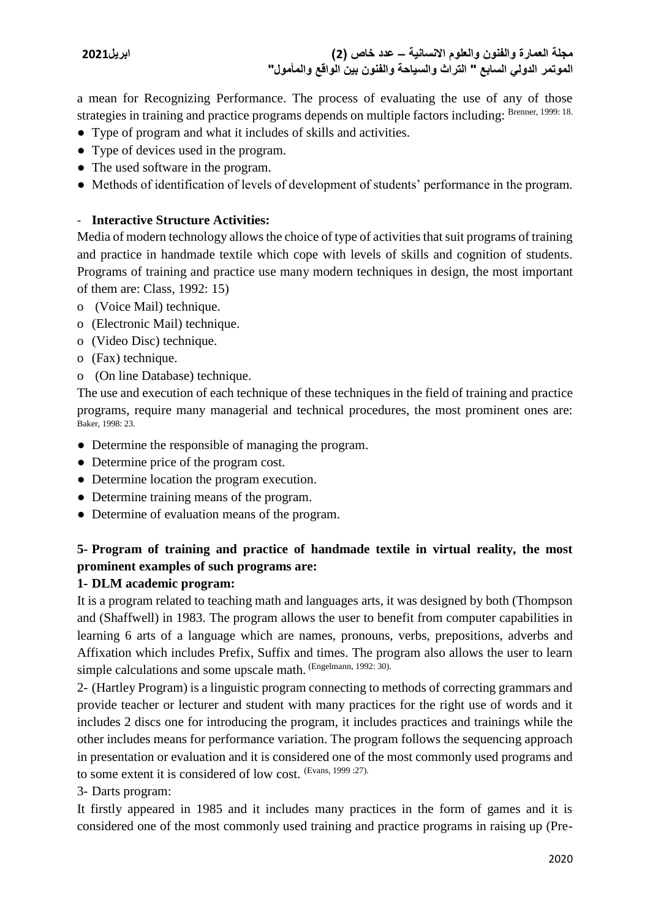**مجلة العمارة والفنون والعلوم االنسانية – عدد خاص )2( ابريل2021 الموتمر الدولي السابع " التراث والسياحة والفنون بين الواقع والمأمول"**

a mean for Recognizing Performance. The process of evaluating the use of any of those strategies in training and practice programs depends on multiple factors including: Brenner, 1999: 18.

- Type of program and what it includes of skills and activities.
- Type of devices used in the program.
- The used software in the program.
- Methods of identification of levels of development of students' performance in the program.

# - **Interactive Structure Activities:**

Media of modern technology allows the choice of type of activities that suit programs of training and practice in handmade textile which cope with levels of skills and cognition of students. Programs of training and practice use many modern techniques in design, the most important of them are: Class, 1992: 15)

- o (Voice Mail) technique.
- o (Electronic Mail) technique.
- o (Video Disc) technique.
- o (Fax) technique.
- o (On line Database) technique.

The use and execution of each technique of these techniques in the field of training and practice programs, require many managerial and technical procedures, the most prominent ones are: Baker, 1998: 23.

- Determine the responsible of managing the program.
- Determine price of the program cost.
- Determine location the program execution.
- Determine training means of the program.
- Determine of evaluation means of the program.

# **5- Program of training and practice of handmade textile in virtual reality, the most prominent examples of such programs are:**

# **1- DLM academic program:**

It is a program related to teaching math and languages arts, it was designed by both (Thompson and (Shaffwell) in 1983. The program allows the user to benefit from computer capabilities in learning 6 arts of a language which are names, pronouns, verbs, prepositions, adverbs and Affixation which includes Prefix, Suffix and times. The program also allows the user to learn simple calculations and some upscale math. (Engelmann, 1992: 30).

2- (Hartley Program) is a linguistic program connecting to methods of correcting grammars and provide teacher or lecturer and student with many practices for the right use of words and it includes 2 discs one for introducing the program, it includes practices and trainings while the other includes means for performance variation. The program follows the sequencing approach in presentation or evaluation and it is considered one of the most commonly used programs and to some extent it is considered of low cost. (Evans, 1999 :27).

3- Darts program:

It firstly appeared in 1985 and it includes many practices in the form of games and it is considered one of the most commonly used training and practice programs in raising up (Pre-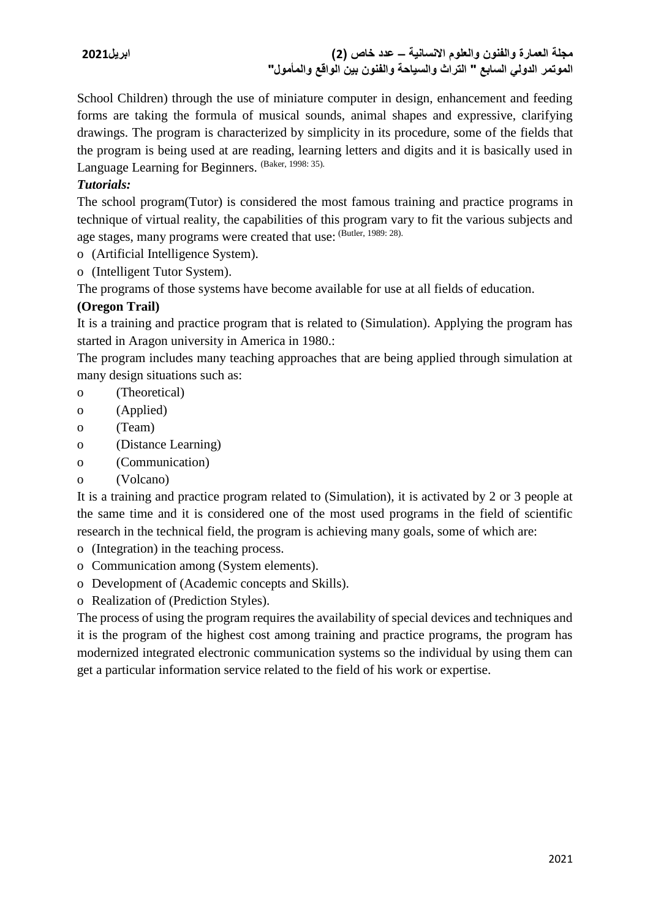**مجلة العمارة والفنون والعلوم االنسانية – عدد خاص )2( ابريل2021 الموتمر الدولي السابع " التراث والسياحة والفنون بين الواقع والمأمول"**

School Children) through the use of miniature computer in design, enhancement and feeding forms are taking the formula of musical sounds, animal shapes and expressive, clarifying drawings. The program is characterized by simplicity in its procedure, some of the fields that the program is being used at are reading, learning letters and digits and it is basically used in Language Learning for Beginners. (Baker, 1998: 35).

# *Tutorials:*

The school program(Tutor) is considered the most famous training and practice programs in technique of virtual reality, the capabilities of this program vary to fit the various subjects and age stages, many programs were created that use: (Butler, 1989: 28).

- o (Artificial Intelligence System).
- o (Intelligent Tutor System).

The programs of those systems have become available for use at all fields of education.

## **(Oregon Trail)**

It is a training and practice program that is related to (Simulation). Applying the program has started in Aragon university in America in 1980.:

The program includes many teaching approaches that are being applied through simulation at many design situations such as:

- o (Theoretical)
- o (Applied)
- o (Team)
- o (Distance Learning)
- o (Communication)
- o (Volcano)

It is a training and practice program related to (Simulation), it is activated by 2 or 3 people at the same time and it is considered one of the most used programs in the field of scientific research in the technical field, the program is achieving many goals, some of which are:

- o (Integration) in the teaching process.
- o Communication among (System elements).
- o Development of (Academic concepts and Skills).
- o Realization of (Prediction Styles).

The process of using the program requires the availability of special devices and techniques and it is the program of the highest cost among training and practice programs, the program has modernized integrated electronic communication systems so the individual by using them can get a particular information service related to the field of his work or expertise.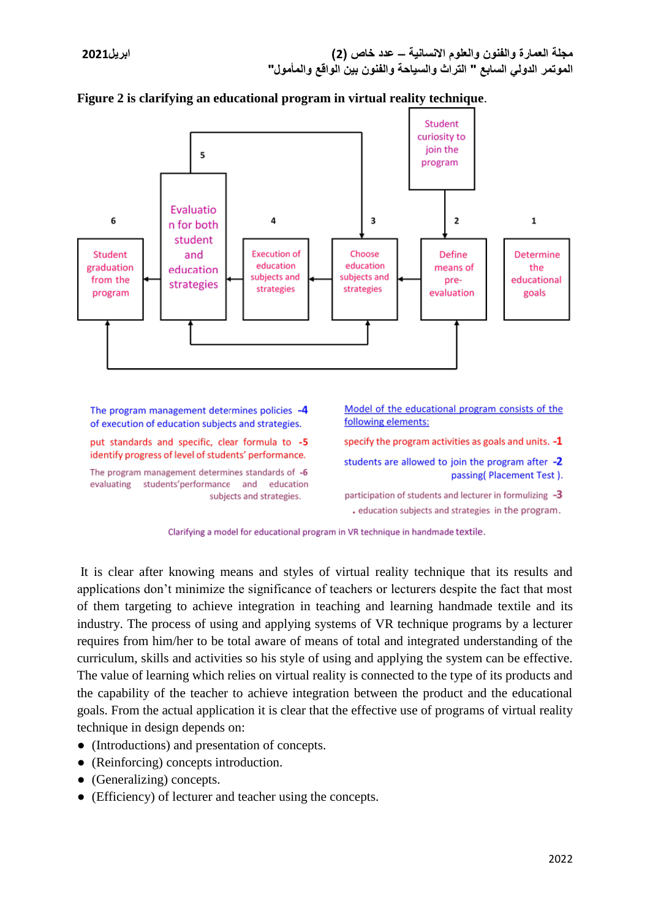

#### **Figure 2 is clarifying an educational program in virtual reality technique**.

The program management determines policies -4 of execution of education subjects and strategies.

put standards and specific, clear formula to -5 identify progress of level of students' performance.

The program management determines standards of -6 evaluating students'performance and education subjects and strategies.

Model of the educational program consists of the following elements:

specify the program activities as goals and units.  $-1$ 

students are allowed to join the program after -2 passing(Placement Test).

participation of students and lecturer in formulizing -3 . education subjects and strategies in the program.



It is clear after knowing means and styles of virtual reality technique that its results and applications don't minimize the significance of teachers or lecturers despite the fact that most of them targeting to achieve integration in teaching and learning handmade textile and its industry. The process of using and applying systems of VR technique programs by a lecturer requires from him/her to be total aware of means of total and integrated understanding of the curriculum, skills and activities so his style of using and applying the system can be effective. The value of learning which relies on virtual reality is connected to the type of its products and the capability of the teacher to achieve integration between the product and the educational goals. From the actual application it is clear that the effective use of programs of virtual reality technique in design depends on:

- (Introductions) and presentation of concepts.
- (Reinforcing) concepts introduction.
- (Generalizing) concepts.
- (Efficiency) of lecturer and teacher using the concepts.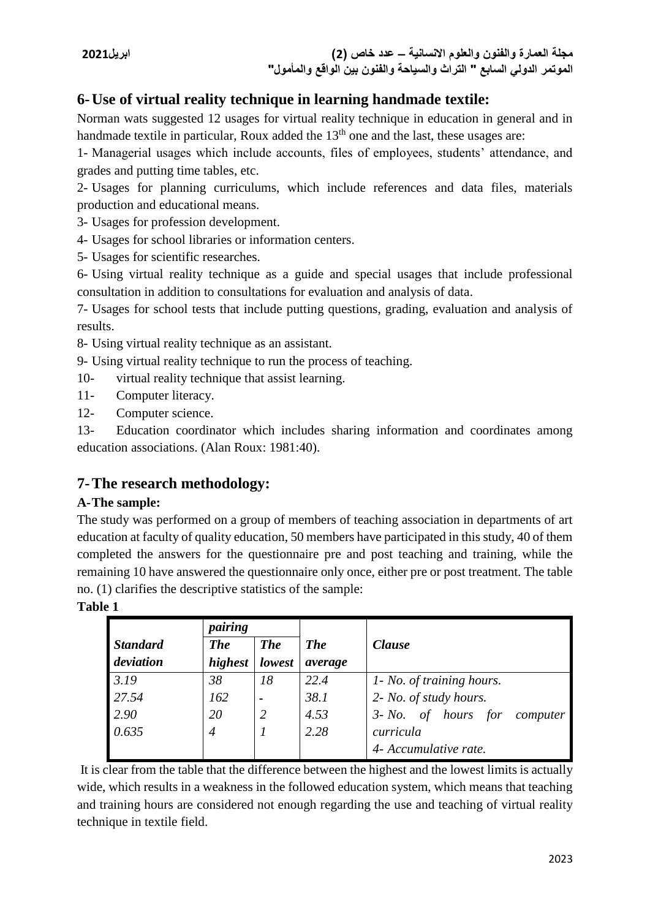# **6-Use of virtual reality technique in learning handmade textile:**

Norman wats suggested 12 usages for virtual reality technique in education in general and in handmade textile in particular, Roux added the  $13<sup>th</sup>$  one and the last, these usages are:

1- Managerial usages which include accounts, files of employees, students' attendance, and grades and putting time tables, etc.

2- Usages for planning curriculums, which include references and data files, materials production and educational means.

3- Usages for profession development.

- 4- Usages for school libraries or information centers.
- 5- Usages for scientific researches.

6- Using virtual reality technique as a guide and special usages that include professional consultation in addition to consultations for evaluation and analysis of data.

7- Usages for school tests that include putting questions, grading, evaluation and analysis of results.

8- Using virtual reality technique as an assistant.

- 9- Using virtual reality technique to run the process of teaching.
- 10- virtual reality technique that assist learning.
- 11- Computer literacy.
- 12- Computer science.

13- Education coordinator which includes sharing information and coordinates among education associations. (Alan Roux: 1981:40).

# **7-The research methodology:**

## **A-The sample:**

The study was performed on a group of members of teaching association in departments of art education at faculty of quality education, 50 members have participated in this study, 40 of them completed the answers for the questionnaire pre and post teaching and training, while the remaining 10 have answered the questionnaire only once, either pre or post treatment. The table no. (1) clarifies the descriptive statistics of the sample:

## **Table 1**

|                 | pairing        |                          |            |                                       |  |  |
|-----------------|----------------|--------------------------|------------|---------------------------------------|--|--|
| <b>Standard</b> | <b>The</b>     | <b>The</b>               | <b>The</b> | <b>Clause</b>                         |  |  |
| deviation       | highest        | lowest                   | average    |                                       |  |  |
| 3.19            | 38             | 18                       | 22.4       | 1- No. of training hours.             |  |  |
| 27.54           | 162            | $\overline{\phantom{0}}$ | 38.1       | 2- No. of study hours.                |  |  |
| 2.90            | 20             | 2                        | 4.53       | of hours for<br>$3 - No.$<br>computer |  |  |
| 0.635           | $\overline{4}$ |                          | 2.28       | curricula                             |  |  |
|                 |                |                          |            | 4- Accumulative rate.                 |  |  |

It is clear from the table that the difference between the highest and the lowest limits is actually wide, which results in a weakness in the followed education system, which means that teaching and training hours are considered not enough regarding the use and teaching of virtual reality technique in textile field.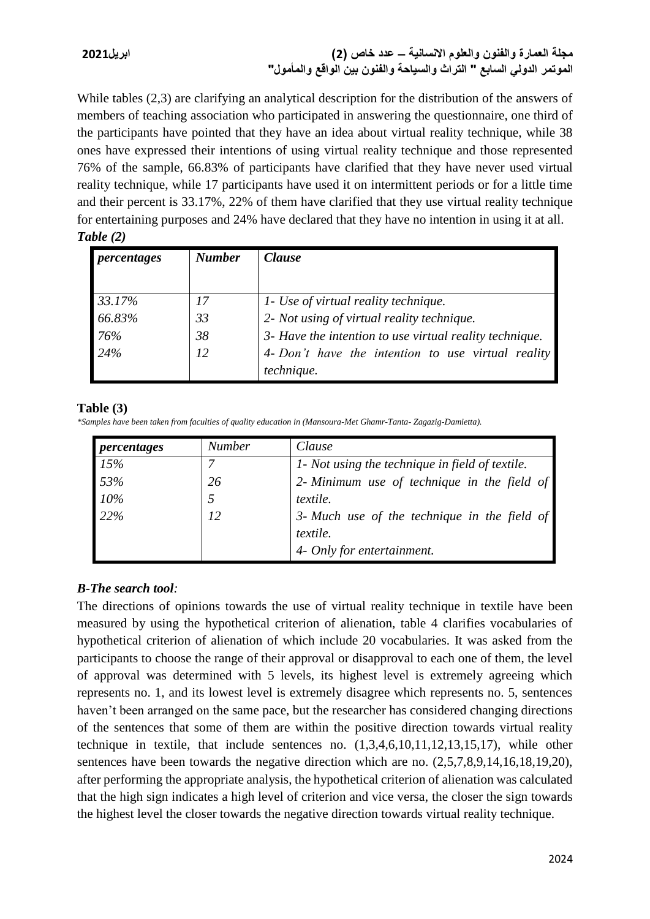# **مجلة العمارة والفنون والعلوم االنسانية – عدد خاص )2( ابريل2021 الموتمر الدولي السابع " التراث والسياحة والفنون بين الواقع والمأمول"**

While tables (2,3) are clarifying an analytical description for the distribution of the answers of members of teaching association who participated in answering the questionnaire, one third of the participants have pointed that they have an idea about virtual reality technique, while 38 ones have expressed their intentions of using virtual reality technique and those represented 76% of the sample, 66.83% of participants have clarified that they have never used virtual reality technique, while 17 participants have used it on intermittent periods or for a little time and their percent is 33.17%, 22% of them have clarified that they use virtual reality technique for entertaining purposes and 24% have declared that they have no intention in using it at all. *Table (2)* 

| percentages | <b>Number</b> | <i>Clause</i>                                           |  |  |  |
|-------------|---------------|---------------------------------------------------------|--|--|--|
|             |               |                                                         |  |  |  |
| 33.17%      | 17            | 1- Use of virtual reality technique.                    |  |  |  |
| 66.83%      | 33            | 2- Not using of virtual reality technique.              |  |  |  |
| 76%         | 38            | 3- Have the intention to use virtual reality technique. |  |  |  |
| 24%         | 12            | 4- Don't have the intention to use virtual reality      |  |  |  |
|             |               | technique.                                              |  |  |  |

## **Table (3)**

*\*Samples have been taken from faculties of quality education in (Mansoura-Met Ghamr-Tanta- Zagazig-Damietta).* 

| percentages      | <b>Number</b> | Clause                                                   |  |  |  |
|------------------|---------------|----------------------------------------------------------|--|--|--|
| 15%              |               | 1- Not using the technique in field of textile.          |  |  |  |
| $\frac{1}{33\%}$ | 26            | 2- Minimum use of technique in the field of              |  |  |  |
| $10\%$           |               | textile.                                                 |  |  |  |
| 22%              | 12            | 3- Much use of the technique in the field of<br>textile. |  |  |  |
|                  |               | 4- Only for entertainment.                               |  |  |  |

# *B-The search tool:*

The directions of opinions towards the use of virtual reality technique in textile have been measured by using the hypothetical criterion of alienation, table 4 clarifies vocabularies of hypothetical criterion of alienation of which include 20 vocabularies. It was asked from the participants to choose the range of their approval or disapproval to each one of them, the level of approval was determined with 5 levels, its highest level is extremely agreeing which represents no. 1, and its lowest level is extremely disagree which represents no. 5, sentences haven't been arranged on the same pace, but the researcher has considered changing directions of the sentences that some of them are within the positive direction towards virtual reality technique in textile, that include sentences no. (1,3,4,6,10,11,12,13,15,17), while other sentences have been towards the negative direction which are no.  $(2,5,7,8,9,14,16,18,19,20)$ , after performing the appropriate analysis, the hypothetical criterion of alienation was calculated that the high sign indicates a high level of criterion and vice versa, the closer the sign towards the highest level the closer towards the negative direction towards virtual reality technique.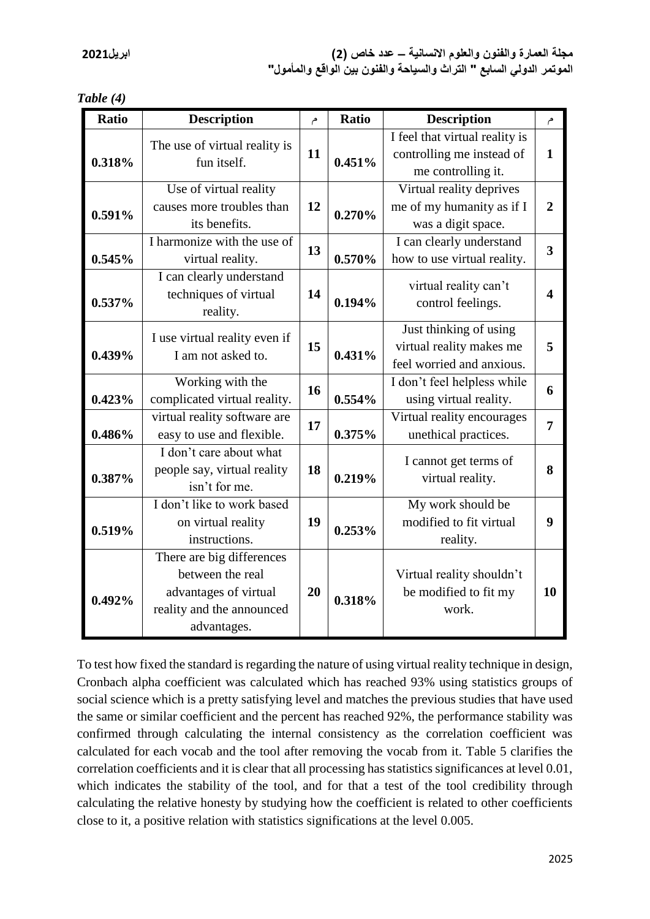| <b>Ratio</b> | <b>Description</b>                                                                                                 | م  | Ratio  | <b>Description</b>                                                                | م                       |
|--------------|--------------------------------------------------------------------------------------------------------------------|----|--------|-----------------------------------------------------------------------------------|-------------------------|
| 0.318%       | The use of virtual reality is<br>fun itself.                                                                       | 11 | 0.451% | I feel that virtual reality is<br>controlling me instead of<br>me controlling it. | $\mathbf{1}$            |
| 0.591%       | Use of virtual reality<br>causes more troubles than<br>its benefits.                                               | 12 | 0.270% | Virtual reality deprives<br>me of my humanity as if I<br>was a digit space.       | $\overline{2}$          |
| 0.545%       | I harmonize with the use of<br>virtual reality.                                                                    | 13 | 0.570% | I can clearly understand<br>how to use virtual reality.                           | $\overline{\mathbf{3}}$ |
| 0.537%       | I can clearly understand<br>techniques of virtual<br>reality.                                                      | 14 | 0.194% | virtual reality can't<br>control feelings.                                        | 4                       |
| 0.439%       | I use virtual reality even if<br>I am not asked to.                                                                | 15 | 0.431% | Just thinking of using<br>virtual reality makes me<br>feel worried and anxious.   | 5                       |
| 0.423%       | Working with the<br>complicated virtual reality.                                                                   | 16 | 0.554% | I don't feel helpless while<br>using virtual reality.                             | 6                       |
| 0.486%       | virtual reality software are<br>easy to use and flexible.                                                          | 17 | 0.375% | Virtual reality encourages<br>unethical practices.                                | 7                       |
| 0.387%       | I don't care about what<br>people say, virtual reality<br>isn't for me.                                            | 18 | 0.219% | I cannot get terms of<br>virtual reality.                                         | 8                       |
| 0.519%       | I don't like to work based<br>on virtual reality<br>instructions.                                                  | 19 | 0.253% | My work should be<br>modified to fit virtual<br>reality.                          | 9                       |
| 0.492%       | There are big differences<br>between the real<br>advantages of virtual<br>reality and the announced<br>advantages. | 20 | 0.318% | Virtual reality shouldn't<br>be modified to fit my<br>work.                       | 10                      |

To test how fixed the standard is regarding the nature of using virtual reality technique in design, Cronbach alpha coefficient was calculated which has reached 93% using statistics groups of social science which is a pretty satisfying level and matches the previous studies that have used the same or similar coefficient and the percent has reached 92%, the performance stability was confirmed through calculating the internal consistency as the correlation coefficient was calculated for each vocab and the tool after removing the vocab from it. Table 5 clarifies the correlation coefficients and it is clear that all processing has statistics significances at level 0.01, which indicates the stability of the tool, and for that a test of the tool credibility through calculating the relative honesty by studying how the coefficient is related to other coefficients close to it, a positive relation with statistics significations at the level 0.005.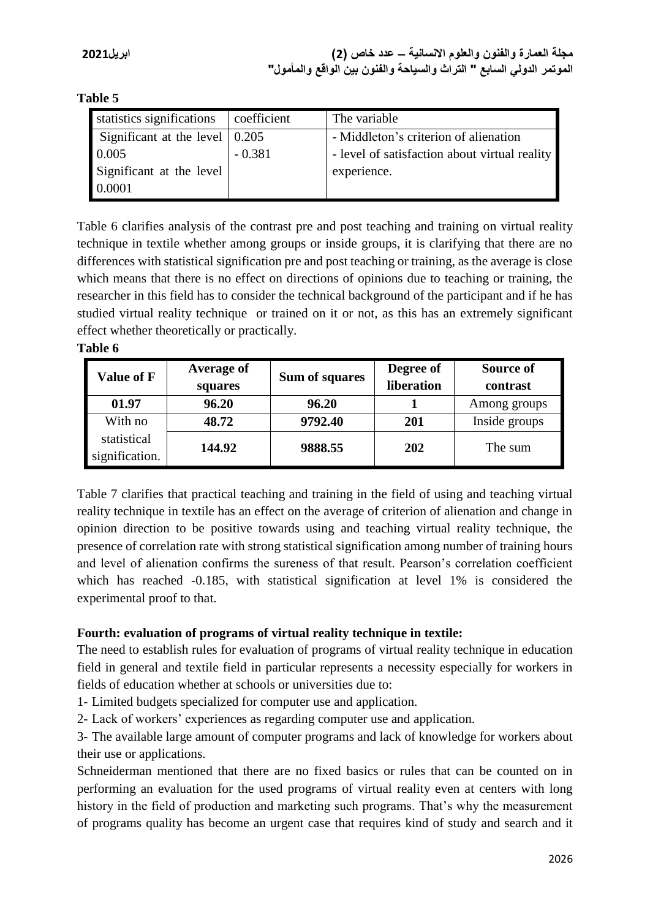**Table 5**

| statistics significations                    | coefficient | The variable                                  |
|----------------------------------------------|-------------|-----------------------------------------------|
| Significant at the level $\vert 0.205 \vert$ |             | - Middleton's criterion of alienation         |
| 0.005                                        | $-0.381$    | - level of satisfaction about virtual reality |
| Significant at the level                     |             | experience.                                   |
| 0.0001                                       |             |                                               |

Table 6 clarifies analysis of the contrast pre and post teaching and training on virtual reality technique in textile whether among groups or inside groups, it is clarifying that there are no differences with statistical signification pre and post teaching or training, as the average is close which means that there is no effect on directions of opinions due to teaching or training, the researcher in this field has to consider the technical background of the participant and if he has studied virtual reality technique or trained on it or not, as this has an extremely significant effect whether theoretically or practically.

**Table 6**

| <b>Value of F</b>             | <b>Average of</b><br>squares | Sum of squares | Degree of<br>liberation | Source of<br>contrast |
|-------------------------------|------------------------------|----------------|-------------------------|-----------------------|
| 01.97                         | 96.20                        | 96.20          |                         | Among groups          |
| With no                       | 48.72                        | 9792.40        | 201                     | Inside groups         |
| statistical<br>signification. | 144.92                       | 9888.55        | <b>202</b>              | The sum               |

Table 7 clarifies that practical teaching and training in the field of using and teaching virtual reality technique in textile has an effect on the average of criterion of alienation and change in opinion direction to be positive towards using and teaching virtual reality technique, the presence of correlation rate with strong statistical signification among number of training hours and level of alienation confirms the sureness of that result. Pearson's correlation coefficient which has reached -0.185, with statistical signification at level 1% is considered the experimental proof to that.

# **Fourth: evaluation of programs of virtual reality technique in textile:**

The need to establish rules for evaluation of programs of virtual reality technique in education field in general and textile field in particular represents a necessity especially for workers in fields of education whether at schools or universities due to:

1- Limited budgets specialized for computer use and application.

2- Lack of workers' experiences as regarding computer use and application.

3- The available large amount of computer programs and lack of knowledge for workers about their use or applications.

Schneiderman mentioned that there are no fixed basics or rules that can be counted on in performing an evaluation for the used programs of virtual reality even at centers with long history in the field of production and marketing such programs. That's why the measurement of programs quality has become an urgent case that requires kind of study and search and it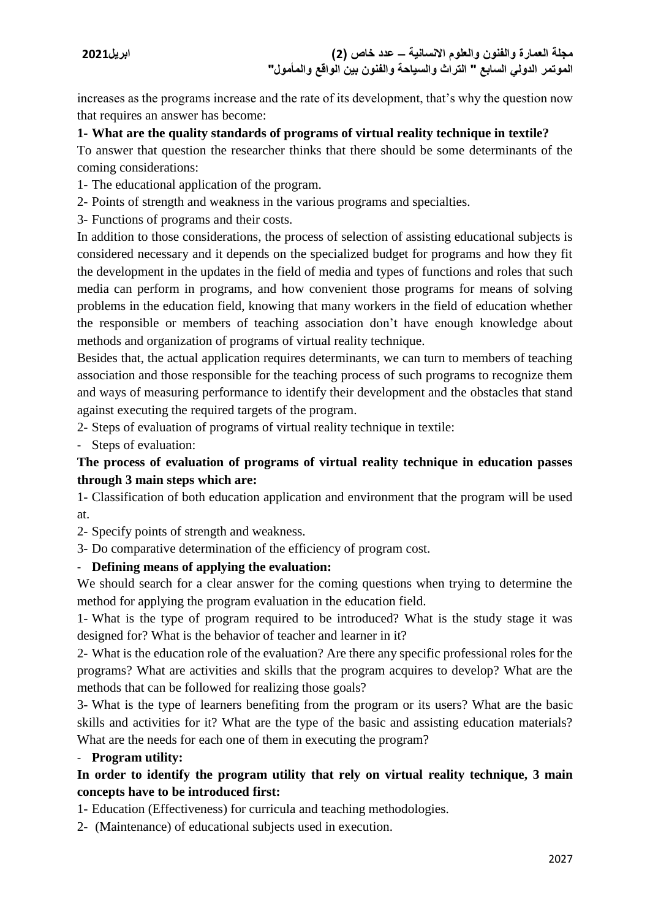increases as the programs increase and the rate of its development, that's why the question now that requires an answer has become:

## **1- What are the quality standards of programs of virtual reality technique in textile?**

To answer that question the researcher thinks that there should be some determinants of the coming considerations:

- 1- The educational application of the program.
- 2- Points of strength and weakness in the various programs and specialties.
- 3- Functions of programs and their costs.

In addition to those considerations, the process of selection of assisting educational subjects is considered necessary and it depends on the specialized budget for programs and how they fit the development in the updates in the field of media and types of functions and roles that such media can perform in programs, and how convenient those programs for means of solving problems in the education field, knowing that many workers in the field of education whether the responsible or members of teaching association don't have enough knowledge about methods and organization of programs of virtual reality technique.

Besides that, the actual application requires determinants, we can turn to members of teaching association and those responsible for the teaching process of such programs to recognize them and ways of measuring performance to identify their development and the obstacles that stand against executing the required targets of the program.

2- Steps of evaluation of programs of virtual reality technique in textile:

- Steps of evaluation:

# **The process of evaluation of programs of virtual reality technique in education passes through 3 main steps which are:**

1- Classification of both education application and environment that the program will be used at.

- 2- Specify points of strength and weakness.
- 3- Do comparative determination of the efficiency of program cost.

## - **Defining means of applying the evaluation:**

We should search for a clear answer for the coming questions when trying to determine the method for applying the program evaluation in the education field.

1- What is the type of program required to be introduced? What is the study stage it was designed for? What is the behavior of teacher and learner in it?

2- What is the education role of the evaluation? Are there any specific professional roles for the programs? What are activities and skills that the program acquires to develop? What are the methods that can be followed for realizing those goals?

3- What is the type of learners benefiting from the program or its users? What are the basic skills and activities for it? What are the type of the basic and assisting education materials? What are the needs for each one of them in executing the program?

## - **Program utility:**

# **In order to identify the program utility that rely on virtual reality technique, 3 main concepts have to be introduced first:**

1- Education (Effectiveness) for curricula and teaching methodologies.

2- (Maintenance) of educational subjects used in execution.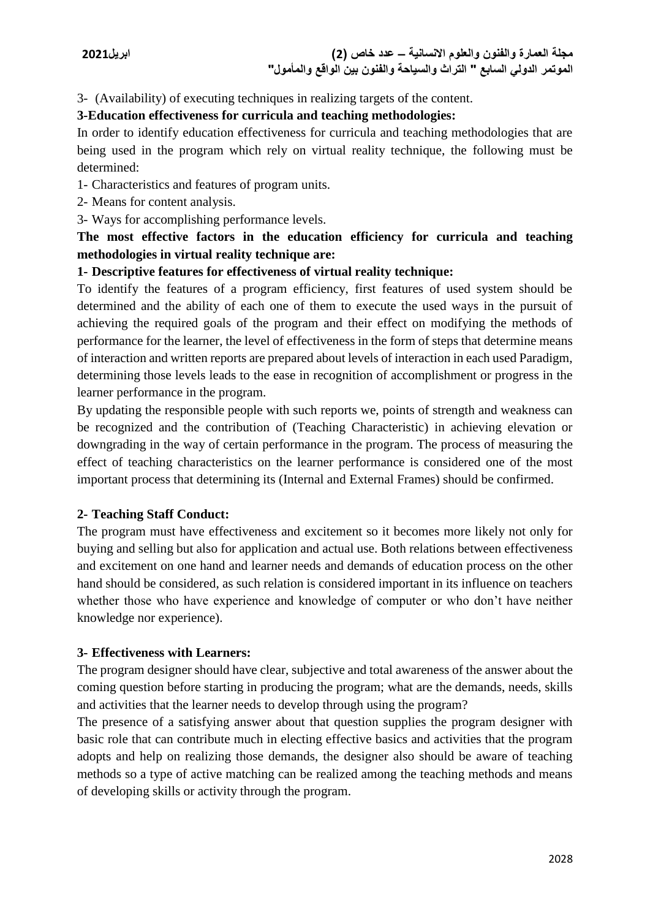3- (Availability) of executing techniques in realizing targets of the content.

## **3-Education effectiveness for curricula and teaching methodologies:**

In order to identify education effectiveness for curricula and teaching methodologies that are being used in the program which rely on virtual reality technique, the following must be determined:

- 1- Characteristics and features of program units.
- 2- Means for content analysis.
- 3- Ways for accomplishing performance levels.

# **The most effective factors in the education efficiency for curricula and teaching methodologies in virtual reality technique are:**

## **1- Descriptive features for effectiveness of virtual reality technique:**

To identify the features of a program efficiency, first features of used system should be determined and the ability of each one of them to execute the used ways in the pursuit of achieving the required goals of the program and their effect on modifying the methods of performance for the learner, the level of effectiveness in the form of steps that determine means of interaction and written reports are prepared about levels of interaction in each used Paradigm, determining those levels leads to the ease in recognition of accomplishment or progress in the learner performance in the program.

By updating the responsible people with such reports we, points of strength and weakness can be recognized and the contribution of (Teaching Characteristic) in achieving elevation or downgrading in the way of certain performance in the program. The process of measuring the effect of teaching characteristics on the learner performance is considered one of the most important process that determining its (Internal and External Frames) should be confirmed.

# **2- Teaching Staff Conduct:**

The program must have effectiveness and excitement so it becomes more likely not only for buying and selling but also for application and actual use. Both relations between effectiveness and excitement on one hand and learner needs and demands of education process on the other hand should be considered, as such relation is considered important in its influence on teachers whether those who have experience and knowledge of computer or who don't have neither knowledge nor experience).

## **3- Effectiveness with Learners:**

The program designer should have clear, subjective and total awareness of the answer about the coming question before starting in producing the program; what are the demands, needs, skills and activities that the learner needs to develop through using the program?

The presence of a satisfying answer about that question supplies the program designer with basic role that can contribute much in electing effective basics and activities that the program adopts and help on realizing those demands, the designer also should be aware of teaching methods so a type of active matching can be realized among the teaching methods and means of developing skills or activity through the program.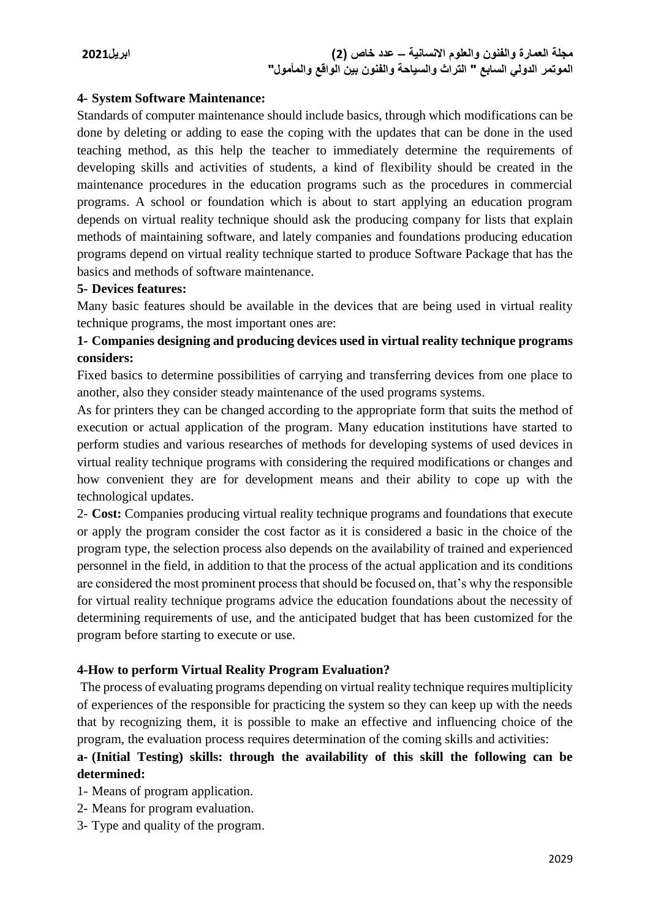## **4- System Software Maintenance:**

Standards of computer maintenance should include basics, through which modifications can be done by deleting or adding to ease the coping with the updates that can be done in the used teaching method, as this help the teacher to immediately determine the requirements of developing skills and activities of students, a kind of flexibility should be created in the maintenance procedures in the education programs such as the procedures in commercial programs. A school or foundation which is about to start applying an education program depends on virtual reality technique should ask the producing company for lists that explain methods of maintaining software, and lately companies and foundations producing education programs depend on virtual reality technique started to produce Software Package that has the basics and methods of software maintenance.

## **5- Devices features:**

Many basic features should be available in the devices that are being used in virtual reality technique programs, the most important ones are:

# **1- Companies designing and producing devices used in virtual reality technique programs considers:**

Fixed basics to determine possibilities of carrying and transferring devices from one place to another, also they consider steady maintenance of the used programs systems.

As for printers they can be changed according to the appropriate form that suits the method of execution or actual application of the program. Many education institutions have started to perform studies and various researches of methods for developing systems of used devices in virtual reality technique programs with considering the required modifications or changes and how convenient they are for development means and their ability to cope up with the technological updates.

2- **Cost:** Companies producing virtual reality technique programs and foundations that execute or apply the program consider the cost factor as it is considered a basic in the choice of the program type, the selection process also depends on the availability of trained and experienced personnel in the field, in addition to that the process of the actual application and its conditions are considered the most prominent process that should be focused on, that's why the responsible for virtual reality technique programs advice the education foundations about the necessity of determining requirements of use, and the anticipated budget that has been customized for the program before starting to execute or use.

## **4-How to perform Virtual Reality Program Evaluation?**

The process of evaluating programs depending on virtual reality technique requires multiplicity of experiences of the responsible for practicing the system so they can keep up with the needs that by recognizing them, it is possible to make an effective and influencing choice of the program, the evaluation process requires determination of the coming skills and activities:

# **a- (Initial Testing) skills: through the availability of this skill the following can be determined:**

1- Means of program application.

- 2- Means for program evaluation.
- 3- Type and quality of the program.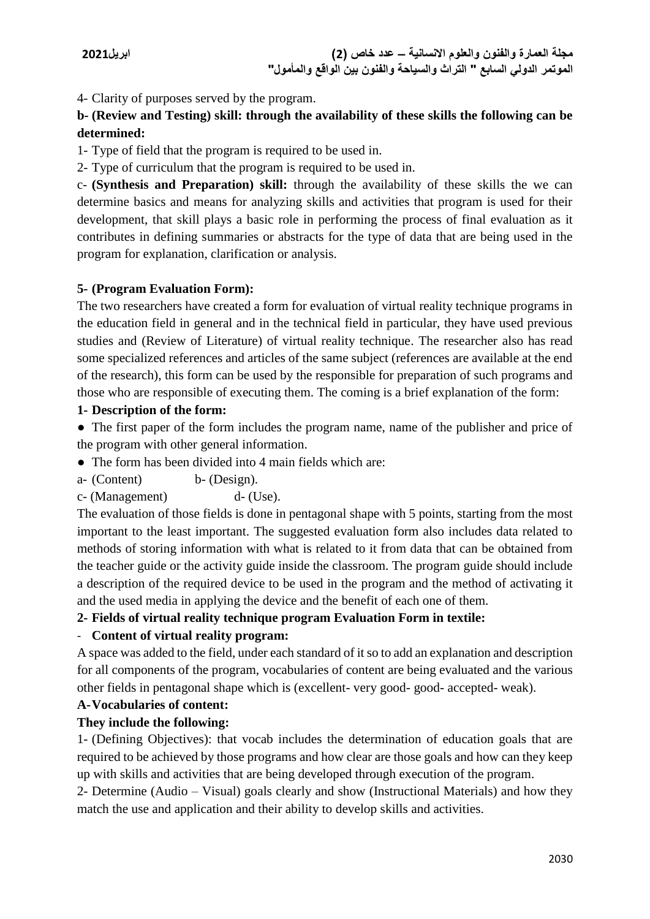4- Clarity of purposes served by the program.

# **b- (Review and Testing) skill: through the availability of these skills the following can be determined:**

1- Type of field that the program is required to be used in.

2- Type of curriculum that the program is required to be used in.

c- **(Synthesis and Preparation) skill:** through the availability of these skills the we can determine basics and means for analyzing skills and activities that program is used for their development, that skill plays a basic role in performing the process of final evaluation as it contributes in defining summaries or abstracts for the type of data that are being used in the program for explanation, clarification or analysis.

# **5- (Program Evaluation Form):**

The two researchers have created a form for evaluation of virtual reality technique programs in the education field in general and in the technical field in particular, they have used previous studies and (Review of Literature) of virtual reality technique. The researcher also has read some specialized references and articles of the same subject (references are available at the end of the research), this form can be used by the responsible for preparation of such programs and those who are responsible of executing them. The coming is a brief explanation of the form:

# **1- Description of the form:**

● The first paper of the form includes the program name, name of the publisher and price of the program with other general information.

- The form has been divided into 4 main fields which are:
- a- (Content) b- (Design).

c- (Management) d- (Use).

The evaluation of those fields is done in pentagonal shape with 5 points, starting from the most important to the least important. The suggested evaluation form also includes data related to methods of storing information with what is related to it from data that can be obtained from the teacher guide or the activity guide inside the classroom. The program guide should include a description of the required device to be used in the program and the method of activating it and the used media in applying the device and the benefit of each one of them.

# **2- Fields of virtual reality technique program Evaluation Form in textile:**

# - **Content of virtual reality program:**

A space was added to the field, under each standard of it so to add an explanation and description for all components of the program, vocabularies of content are being evaluated and the various other fields in pentagonal shape which is (excellent- very good- good- accepted- weak).

# **A-Vocabularies of content:**

# **They include the following:**

1- (Defining Objectives): that vocab includes the determination of education goals that are required to be achieved by those programs and how clear are those goals and how can they keep up with skills and activities that are being developed through execution of the program.

2- Determine (Audio – Visual) goals clearly and show (Instructional Materials) and how they match the use and application and their ability to develop skills and activities.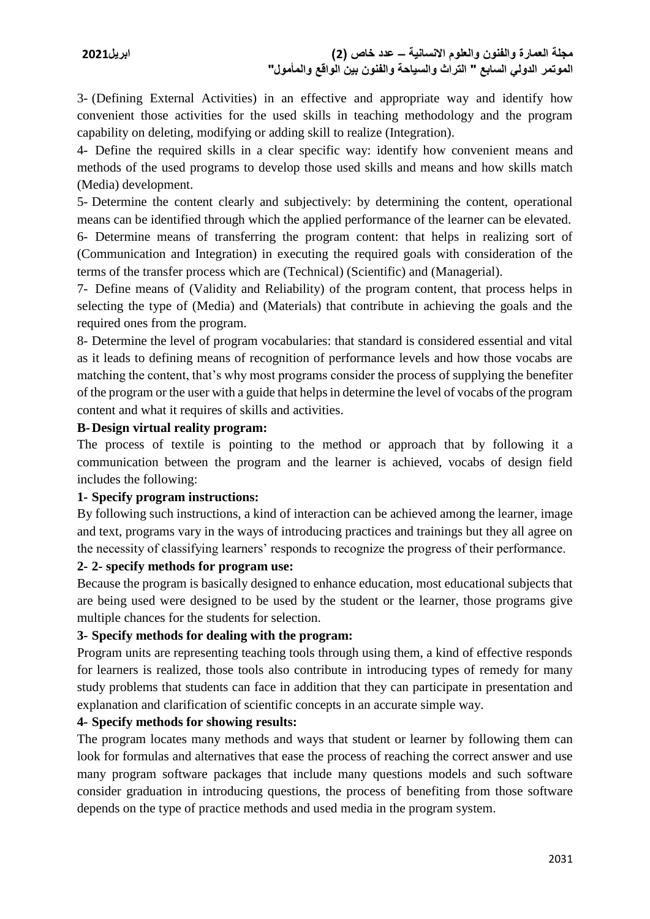3- (Defining External Activities) in an effective and appropriate way and identify how convenient those activities for the used skills in teaching methodology and the program capability on deleting, modifying or adding skill to realize (Integration).

4- Define the required skills in a clear specific way: identify how convenient means and methods of the used programs to develop those used skills and means and how skills match (Media) development.

5- Determine the content clearly and subjectively: by determining the content, operational means can be identified through which the applied performance of the learner can be elevated.

6- Determine means of transferring the program content: that helps in realizing sort of (Communication and Integration) in executing the required goals with consideration of the terms of the transfer process which are (Technical) (Scientific) and (Managerial).

7- Define means of (Validity and Reliability) of the program content, that process helps in selecting the type of (Media) and (Materials) that contribute in achieving the goals and the required ones from the program.

8- Determine the level of program vocabularies: that standard is considered essential and vital as it leads to defining means of recognition of performance levels and how those vocabs are matching the content, that's why most programs consider the process of supplying the benefiter of the program or the user with a guide that helps in determine the level of vocabs of the program content and what it requires of skills and activities.

## **B-Design virtual reality program:**

The process of textile is pointing to the method or approach that by following it a communication between the program and the learner is achieved, vocabs of design field includes the following:

## **1- Specify program instructions:**

By following such instructions, a kind of interaction can be achieved among the learner, image and text, programs vary in the ways of introducing practices and trainings but they all agree on the necessity of classifying learners' responds to recognize the progress of their performance.

## **2- 2- specify methods for program use:**

Because the program is basically designed to enhance education, most educational subjects that are being used were designed to be used by the student or the learner, those programs give multiple chances for the students for selection.

# **3- Specify methods for dealing with the program:**

Program units are representing teaching tools through using them, a kind of effective responds for learners is realized, those tools also contribute in introducing types of remedy for many study problems that students can face in addition that they can participate in presentation and explanation and clarification of scientific concepts in an accurate simple way.

## **4- Specify methods for showing results:**

The program locates many methods and ways that student or learner by following them can look for formulas and alternatives that ease the process of reaching the correct answer and use many program software packages that include many questions models and such software consider graduation in introducing questions, the process of benefiting from those software depends on the type of practice methods and used media in the program system.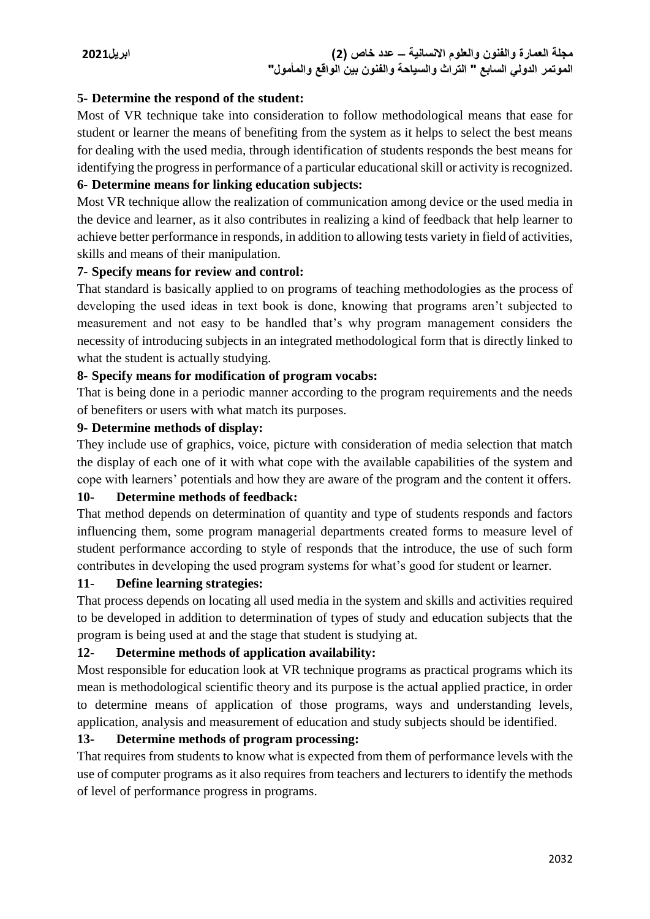## **5- Determine the respond of the student:**

Most of VR technique take into consideration to follow methodological means that ease for student or learner the means of benefiting from the system as it helps to select the best means for dealing with the used media, through identification of students responds the best means for identifying the progress in performance of a particular educational skill or activity is recognized.

## **6- Determine means for linking education subjects:**

Most VR technique allow the realization of communication among device or the used media in the device and learner, as it also contributes in realizing a kind of feedback that help learner to achieve better performance in responds, in addition to allowing tests variety in field of activities, skills and means of their manipulation.

## **7- Specify means for review and control:**

That standard is basically applied to on programs of teaching methodologies as the process of developing the used ideas in text book is done, knowing that programs aren't subjected to measurement and not easy to be handled that's why program management considers the necessity of introducing subjects in an integrated methodological form that is directly linked to what the student is actually studying.

# **8- Specify means for modification of program vocabs:**

That is being done in a periodic manner according to the program requirements and the needs of benefiters or users with what match its purposes.

## **9- Determine methods of display:**

They include use of graphics, voice, picture with consideration of media selection that match the display of each one of it with what cope with the available capabilities of the system and cope with learners' potentials and how they are aware of the program and the content it offers.

## **10- Determine methods of feedback:**

That method depends on determination of quantity and type of students responds and factors influencing them, some program managerial departments created forms to measure level of student performance according to style of responds that the introduce, the use of such form contributes in developing the used program systems for what's good for student or learner.

## **11- Define learning strategies:**

That process depends on locating all used media in the system and skills and activities required to be developed in addition to determination of types of study and education subjects that the program is being used at and the stage that student is studying at.

## **12- Determine methods of application availability:**

Most responsible for education look at VR technique programs as practical programs which its mean is methodological scientific theory and its purpose is the actual applied practice, in order to determine means of application of those programs, ways and understanding levels, application, analysis and measurement of education and study subjects should be identified.

## **13- Determine methods of program processing:**

That requires from students to know what is expected from them of performance levels with the use of computer programs as it also requires from teachers and lecturers to identify the methods of level of performance progress in programs.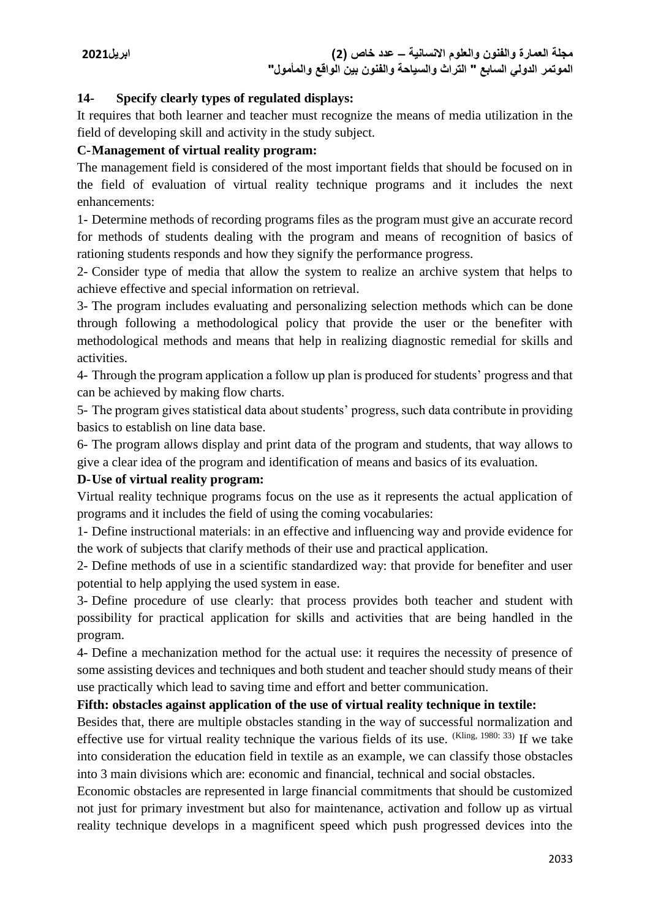## **14- Specify clearly types of regulated displays:**

It requires that both learner and teacher must recognize the means of media utilization in the field of developing skill and activity in the study subject.

## **C-Management of virtual reality program:**

The management field is considered of the most important fields that should be focused on in the field of evaluation of virtual reality technique programs and it includes the next enhancements:

1- Determine methods of recording programs files as the program must give an accurate record for methods of students dealing with the program and means of recognition of basics of rationing students responds and how they signify the performance progress.

2- Consider type of media that allow the system to realize an archive system that helps to achieve effective and special information on retrieval.

3- The program includes evaluating and personalizing selection methods which can be done through following a methodological policy that provide the user or the benefiter with methodological methods and means that help in realizing diagnostic remedial for skills and activities.

4- Through the program application a follow up plan is produced for students' progress and that can be achieved by making flow charts.

5- The program gives statistical data about students' progress, such data contribute in providing basics to establish on line data base.

6- The program allows display and print data of the program and students, that way allows to give a clear idea of the program and identification of means and basics of its evaluation.

## **D-Use of virtual reality program:**

Virtual reality technique programs focus on the use as it represents the actual application of programs and it includes the field of using the coming vocabularies:

1- Define instructional materials: in an effective and influencing way and provide evidence for the work of subjects that clarify methods of their use and practical application.

2- Define methods of use in a scientific standardized way: that provide for benefiter and user potential to help applying the used system in ease.

3- Define procedure of use clearly: that process provides both teacher and student with possibility for practical application for skills and activities that are being handled in the program.

4- Define a mechanization method for the actual use: it requires the necessity of presence of some assisting devices and techniques and both student and teacher should study means of their use practically which lead to saving time and effort and better communication.

## **Fifth: obstacles against application of the use of virtual reality technique in textile:**

Besides that, there are multiple obstacles standing in the way of successful normalization and effective use for virtual reality technique the various fields of its use. (Kling, 1980: 33) If we take into consideration the education field in textile as an example, we can classify those obstacles into 3 main divisions which are: economic and financial, technical and social obstacles.

Economic obstacles are represented in large financial commitments that should be customized not just for primary investment but also for maintenance, activation and follow up as virtual reality technique develops in a magnificent speed which push progressed devices into the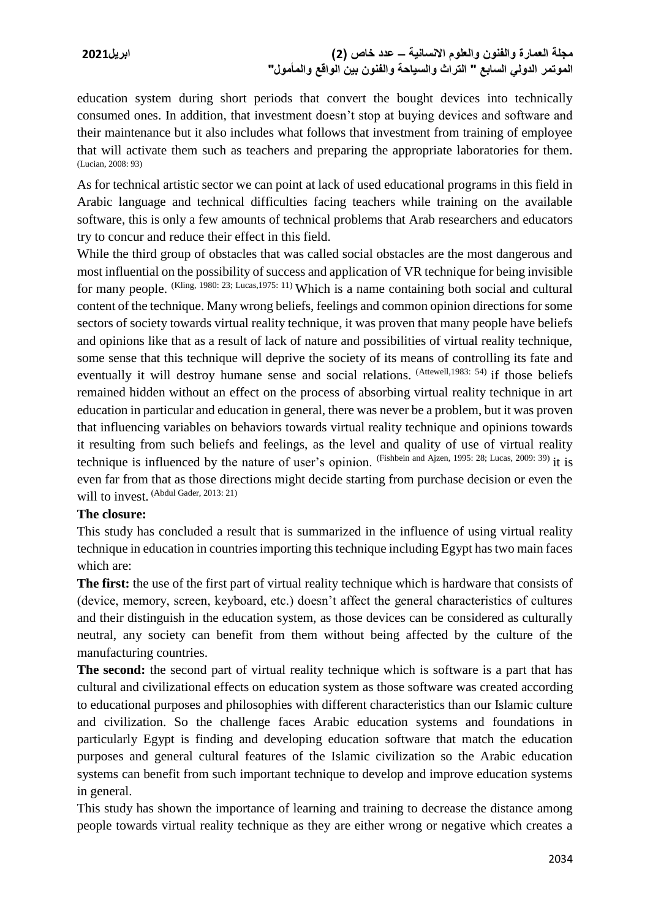education system during short periods that convert the bought devices into technically consumed ones. In addition, that investment doesn't stop at buying devices and software and their maintenance but it also includes what follows that investment from training of employee that will activate them such as teachers and preparing the appropriate laboratories for them. (Lucian, 2008: 93)

As for technical artistic sector we can point at lack of used educational programs in this field in Arabic language and technical difficulties facing teachers while training on the available software, this is only a few amounts of technical problems that Arab researchers and educators try to concur and reduce their effect in this field.

While the third group of obstacles that was called social obstacles are the most dangerous and most influential on the possibility of success and application of VR technique for being invisible for many people. (Kling, 1980: 23; Lucas, 1975: 11) Which is a name containing both social and cultural content of the technique. Many wrong beliefs, feelings and common opinion directions for some sectors of society towards virtual reality technique, it was proven that many people have beliefs and opinions like that as a result of lack of nature and possibilities of virtual reality technique, some sense that this technique will deprive the society of its means of controlling its fate and eventually it will destroy humane sense and social relations. (Attewell, 1983: 54) if those beliefs remained hidden without an effect on the process of absorbing virtual reality technique in art education in particular and education in general, there was never be a problem, but it was proven that influencing variables on behaviors towards virtual reality technique and opinions towards it resulting from such beliefs and feelings, as the level and quality of use of virtual reality technique is influenced by the nature of user's opinion. (Fishbein and Ajzen, 1995: 28; Lucas, 2009: 39) it is even far from that as those directions might decide starting from purchase decision or even the will to invest. (Abdul Gader, 2013: 21)

## **The closure:**

This study has concluded a result that is summarized in the influence of using virtual reality technique in education in countries importing this technique including Egypt has two main faces which are:

**The first:** the use of the first part of virtual reality technique which is hardware that consists of (device, memory, screen, keyboard, etc.) doesn't affect the general characteristics of cultures and their distinguish in the education system, as those devices can be considered as culturally neutral, any society can benefit from them without being affected by the culture of the manufacturing countries.

**The second:** the second part of virtual reality technique which is software is a part that has cultural and civilizational effects on education system as those software was created according to educational purposes and philosophies with different characteristics than our Islamic culture and civilization. So the challenge faces Arabic education systems and foundations in particularly Egypt is finding and developing education software that match the education purposes and general cultural features of the Islamic civilization so the Arabic education systems can benefit from such important technique to develop and improve education systems in general.

This study has shown the importance of learning and training to decrease the distance among people towards virtual reality technique as they are either wrong or negative which creates a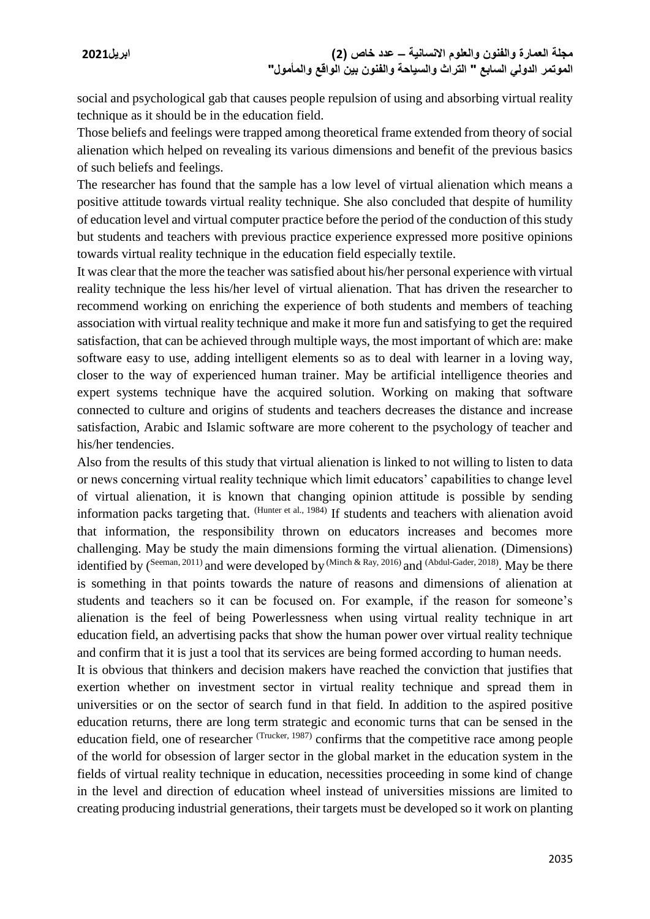social and psychological gab that causes people repulsion of using and absorbing virtual reality technique as it should be in the education field.

Those beliefs and feelings were trapped among theoretical frame extended from theory of social alienation which helped on revealing its various dimensions and benefit of the previous basics of such beliefs and feelings.

The researcher has found that the sample has a low level of virtual alienation which means a positive attitude towards virtual reality technique. She also concluded that despite of humility of education level and virtual computer practice before the period of the conduction of this study but students and teachers with previous practice experience expressed more positive opinions towards virtual reality technique in the education field especially textile.

It was clear that the more the teacher was satisfied about his/her personal experience with virtual reality technique the less his/her level of virtual alienation. That has driven the researcher to recommend working on enriching the experience of both students and members of teaching association with virtual reality technique and make it more fun and satisfying to get the required satisfaction, that can be achieved through multiple ways, the most important of which are: make software easy to use, adding intelligent elements so as to deal with learner in a loving way, closer to the way of experienced human trainer. May be artificial intelligence theories and expert systems technique have the acquired solution. Working on making that software connected to culture and origins of students and teachers decreases the distance and increase satisfaction, Arabic and Islamic software are more coherent to the psychology of teacher and his/her tendencies.

Also from the results of this study that virtual alienation is linked to not willing to listen to data or news concerning virtual reality technique which limit educators' capabilities to change level of virtual alienation, it is known that changing opinion attitude is possible by sending information packs targeting that. <sup>(Hunter et al., 1984)</sup> If students and teachers with alienation avoid that information, the responsibility thrown on educators increases and becomes more challenging. May be study the main dimensions forming the virtual alienation. (Dimensions) identified by (Seeman, 2011) and were developed by <sup>(Minch & Ray, 2016)</sup> and <sup>(Abdul-Gader, 2018)</sup>. May be there is something in that points towards the nature of reasons and dimensions of alienation at students and teachers so it can be focused on. For example, if the reason for someone's alienation is the feel of being Powerlessness when using virtual reality technique in art education field, an advertising packs that show the human power over virtual reality technique and confirm that it is just a tool that its services are being formed according to human needs.

It is obvious that thinkers and decision makers have reached the conviction that justifies that exertion whether on investment sector in virtual reality technique and spread them in universities or on the sector of search fund in that field. In addition to the aspired positive education returns, there are long term strategic and economic turns that can be sensed in the education field, one of researcher (Trucker, 1987) confirms that the competitive race among people of the world for obsession of larger sector in the global market in the education system in the fields of virtual reality technique in education, necessities proceeding in some kind of change in the level and direction of education wheel instead of universities missions are limited to creating producing industrial generations, their targets must be developed so it work on planting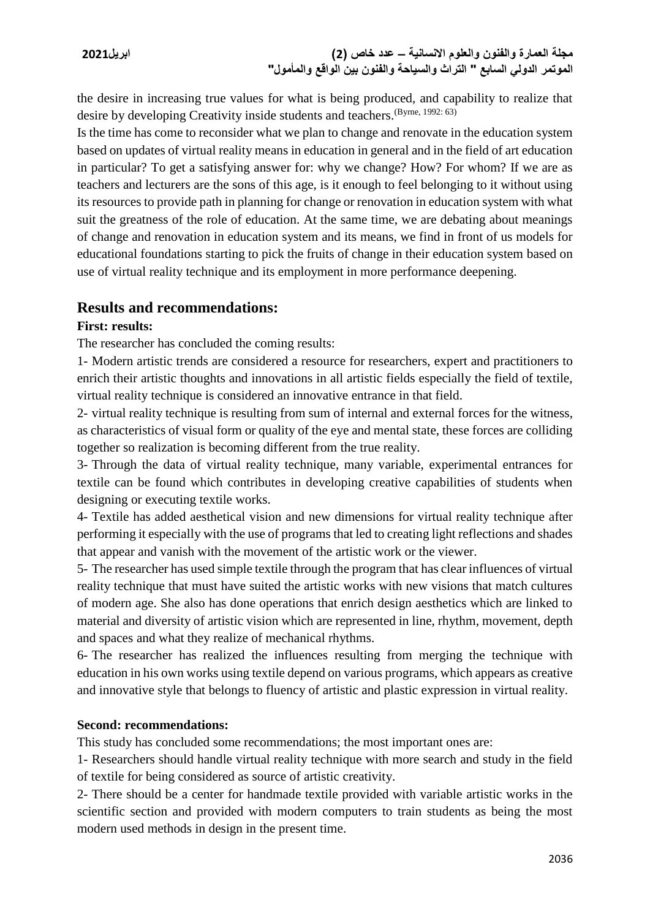the desire in increasing true values for what is being produced, and capability to realize that desire by developing Creativity inside students and teachers. (Byrne, 1992: 63)

Is the time has come to reconsider what we plan to change and renovate in the education system based on updates of virtual reality means in education in general and in the field of art education in particular? To get a satisfying answer for: why we change? How? For whom? If we are as teachers and lecturers are the sons of this age, is it enough to feel belonging to it without using its resources to provide path in planning for change or renovation in education system with what suit the greatness of the role of education. At the same time, we are debating about meanings of change and renovation in education system and its means, we find in front of us models for educational foundations starting to pick the fruits of change in their education system based on use of virtual reality technique and its employment in more performance deepening.

# **Results and recommendations:**

## **First: results:**

The researcher has concluded the coming results:

1- Modern artistic trends are considered a resource for researchers, expert and practitioners to enrich their artistic thoughts and innovations in all artistic fields especially the field of textile, virtual reality technique is considered an innovative entrance in that field.

2- virtual reality technique is resulting from sum of internal and external forces for the witness, as characteristics of visual form or quality of the eye and mental state, these forces are colliding together so realization is becoming different from the true reality.

3- Through the data of virtual reality technique, many variable, experimental entrances for textile can be found which contributes in developing creative capabilities of students when designing or executing textile works.

4- Textile has added aesthetical vision and new dimensions for virtual reality technique after performing it especially with the use of programs that led to creating light reflections and shades that appear and vanish with the movement of the artistic work or the viewer.

5- The researcher has used simple textile through the program that has clear influences of virtual reality technique that must have suited the artistic works with new visions that match cultures of modern age. She also has done operations that enrich design aesthetics which are linked to material and diversity of artistic vision which are represented in line, rhythm, movement, depth and spaces and what they realize of mechanical rhythms.

6- The researcher has realized the influences resulting from merging the technique with education in his own works using textile depend on various programs, which appears as creative and innovative style that belongs to fluency of artistic and plastic expression in virtual reality.

## **Second: recommendations:**

This study has concluded some recommendations; the most important ones are:

1- Researchers should handle virtual reality technique with more search and study in the field of textile for being considered as source of artistic creativity.

2- There should be a center for handmade textile provided with variable artistic works in the scientific section and provided with modern computers to train students as being the most modern used methods in design in the present time.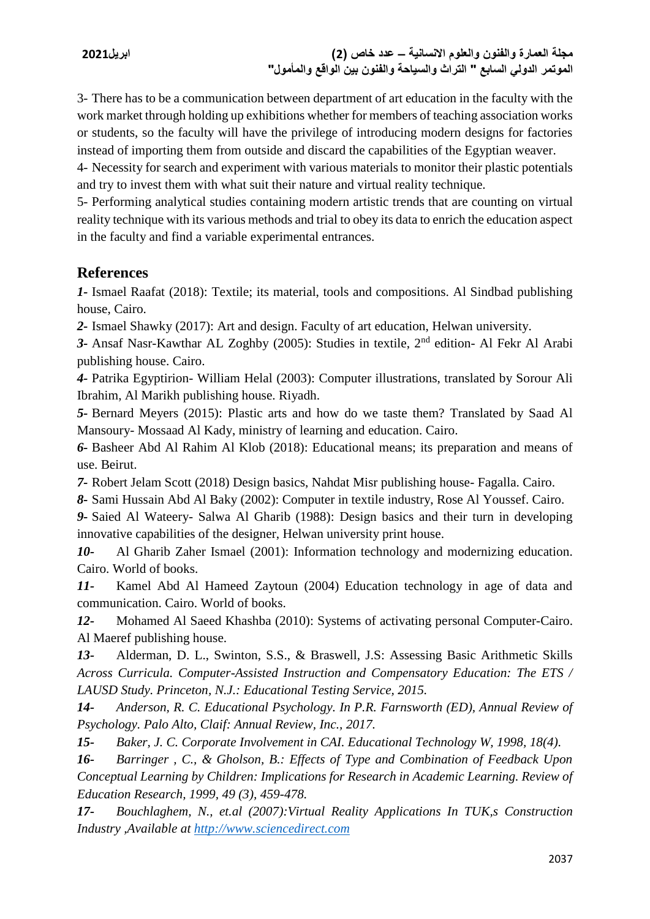3- There has to be a communication between department of art education in the faculty with the work market through holding up exhibitions whether for members of teaching association works or students, so the faculty will have the privilege of introducing modern designs for factories instead of importing them from outside and discard the capabilities of the Egyptian weaver.

4- Necessity for search and experiment with various materials to monitor their plastic potentials and try to invest them with what suit their nature and virtual reality technique.

5- Performing analytical studies containing modern artistic trends that are counting on virtual reality technique with its various methods and trial to obey its data to enrich the education aspect in the faculty and find a variable experimental entrances.

# **References**

*1-* Ismael Raafat (2018): Textile; its material, tools and compositions. Al Sindbad publishing house, Cairo.

*2-* Ismael Shawky (2017): Art and design. Faculty of art education, Helwan university.

*3-* Ansaf Nasr-Kawthar AL Zoghby (2005): Studies in textile, 2nd edition- Al Fekr Al Arabi publishing house. Cairo.

*4-* Patrika Egyptirion- William Helal (2003): Computer illustrations, translated by Sorour Ali Ibrahim, Al Marikh publishing house. Riyadh.

*5-* Bernard Meyers (2015): Plastic arts and how do we taste them? Translated by Saad Al Mansoury- Mossaad Al Kady, ministry of learning and education. Cairo.

*6-* Basheer Abd Al Rahim Al Klob (2018): Educational means; its preparation and means of use. Beirut.

*7-* Robert Jelam Scott (2018) Design basics, Nahdat Misr publishing house- Fagalla. Cairo.

*8-* Sami Hussain Abd Al Baky (2002): Computer in textile industry, Rose Al Youssef. Cairo.

*9-* Saied Al Wateery- Salwa Al Gharib (1988): Design basics and their turn in developing innovative capabilities of the designer, Helwan university print house.

*10-* Al Gharib Zaher Ismael (2001): Information technology and modernizing education. Cairo. World of books.

*11-* Kamel Abd Al Hameed Zaytoun (2004) Education technology in age of data and communication. Cairo. World of books.

*12-* Mohamed Al Saeed Khashba (2010): Systems of activating personal Computer-Cairo. Al Maeref publishing house.

*13-* Alderman, D. L., Swinton, S.S., & Braswell, J.S: Assessing Basic Arithmetic Skills *Across Curricula. Computer-Assisted Instruction and Compensatory Education: The ETS / LAUSD Study. Princeton, N.J.: Educational Testing Service, 2015.* 

*14- Anderson, R. C. Educational Psychology. In P.R. Farnsworth (ED), Annual Review of Psychology. Palo Alto, Claif: Annual Review, Inc., 2017.*

*15- Baker, J. C. Corporate Involvement in CAI. Educational Technology W, 1998, 18(4).* 

*16- Barringer , C., & Gholson, B.: Effects of Type and Combination of Feedback Upon Conceptual Learning by Children: Implications for Research in Academic Learning. Review of Education Research, 1999, 49 (3), 459-478.*

*17- Bouchlaghem, N., et.al (2007):Virtual Reality Applications In TUK,s Construction Industry ,Available at [http://www.sciencedirect.com](http://www.sciencedirect.com/)*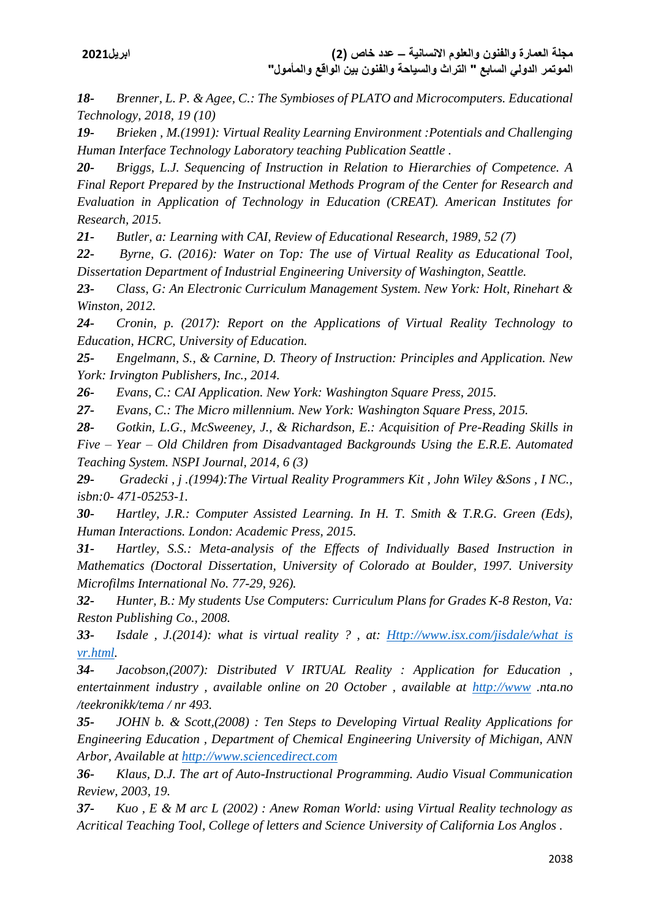*18- Brenner, L. P. & Agee, C.: The Symbioses of PLATO and Microcomputers. Educational Technology, 2018, 19 (10)*

*19- Brieken , M.(1991): Virtual Reality Learning Environment :Potentials and Challenging Human Interface Technology Laboratory teaching Publication Seattle .*

*20- Briggs, L.J. Sequencing of Instruction in Relation to Hierarchies of Competence. A Final Report Prepared by the Instructional Methods Program of the Center for Research and Evaluation in Application of Technology in Education (CREAT). American Institutes for Research, 2015.* 

*21- Butler, a: Learning with CAI, Review of Educational Research, 1989, 52 (7)*

*22- Byrne, G. (2016): Water on Top: The use of Virtual Reality as Educational Tool, Dissertation Department of Industrial Engineering University of Washington, Seattle.*

*23- Class, G: An Electronic Curriculum Management System. New York: Holt, Rinehart & Winston, 2012.* 

*24- Cronin, p. (2017): Report on the Applications of Virtual Reality Technology to Education, HCRC, University of Education.*

*25- Engelmann, S., & Carnine, D. Theory of Instruction: Principles and Application. New York: Irvington Publishers, Inc., 2014.* 

*26- Evans, C.: CAI Application. New York: Washington Square Press, 2015.* 

*27- Evans, C.: The Micro millennium. New York: Washington Square Press, 2015.* 

*28- Gotkin, L.G., McSweeney, J., & Richardson, E.: Acquisition of Pre-Reading Skills in Five – Year – Old Children from Disadvantaged Backgrounds Using the E.R.E. Automated Teaching System. NSPI Journal, 2014, 6 (3)*

*29- Gradecki , j .(1994):The Virtual Reality Programmers Kit , John Wiley &Sons , I NC., isbn:0- 471-05253-1.* 

*30- Hartley, J.R.: Computer Assisted Learning. In H. T. Smith & T.R.G. Green (Eds), Human Interactions. London: Academic Press, 2015.* 

*31- Hartley, S.S.: Meta-analysis of the Effects of Individually Based Instruction in Mathematics (Doctoral Dissertation, University of Colorado at Boulder, 1997. University Microfilms International No. 77-29, 926).* 

*32- Hunter, B.: My students Use Computers: Curriculum Plans for Grades K-8 Reston, Va: Reston Publishing Co., 2008.* 

*33- Isdale , J.(2014): what is virtual reality ? , at: [Http://www.isx.com/jisdale/what is](http://www.isx.com/jisdale/what%20is%20vr.html)  [vr.html.](http://www.isx.com/jisdale/what%20is%20vr.html)*

*34- Jacobson,(2007): Distributed V IRTUAL Reality : Application for Education , entertainment industry , available online on 20 October , available at [http://www](http://www/) .nta.no /teekronikk/tema / nr 493.*

*35- JOHN b. & Scott,(2008) : Ten Steps to Developing Virtual Reality Applications for Engineering Education , Department of Chemical Engineering University of Michigan, ANN Arbor, Available at [http://www.sciencedirect.com](http://www.sciencedirect.com/)*

*36- Klaus, D.J. The art of Auto-Instructional Programming. Audio Visual Communication Review, 2003, 19.* 

*37- Kuo , E & M arc L (2002) : Anew Roman World: using Virtual Reality technology as Acritical Teaching Tool, College of letters and Science University of California Los Anglos .*